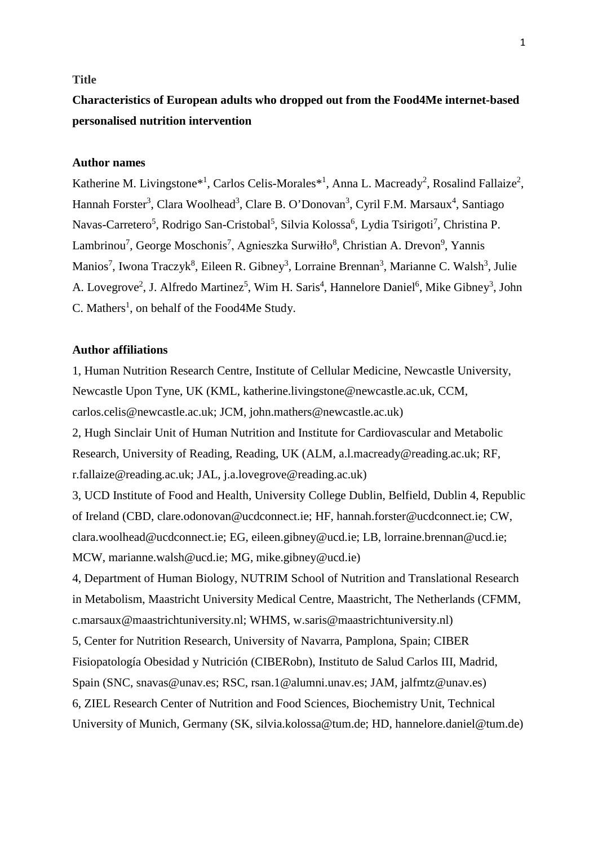#### **Title**

# **Characteristics of European adults who dropped out from the Food4Me internet-based personalised nutrition intervention**

# **Author names**

Katherine M. Livingstone<sup>\*1</sup>, Carlos Celis-Morales<sup>\*1</sup>, Anna L. Macready<sup>2</sup>, Rosalind Fallaize<sup>2</sup>, Hannah Forster<sup>3</sup>, Clara Woolhead<sup>3</sup>, Clare B. O'Donovan<sup>3</sup>, Cyril F.M. Marsaux<sup>4</sup>, Santiago Navas-Carretero<sup>5</sup>, Rodrigo San-Cristobal<sup>5</sup>, Silvia Kolossa<sup>6</sup>, Lydia Tsirigoti<sup>7</sup>, Christina P. Lambrinou<sup>7</sup>, George Moschonis<sup>7</sup>, Agnieszka Surwiłło<sup>8</sup>, Christian A. Drevon<sup>9</sup>, Yannis Manios<sup>7</sup>, Iwona Traczyk<sup>8</sup>, Eileen R. Gibney<sup>3</sup>, Lorraine Brennan<sup>3</sup>, Marianne C. Walsh<sup>3</sup>, Julie A. Lovegrove<sup>2</sup>, J. Alfredo Martinez<sup>5</sup>, Wim H. Saris<sup>4</sup>, Hannelore Daniel<sup>6</sup>, Mike Gibney<sup>3</sup>, John  $C$ . Mathers<sup>1</sup>, on behalf of the Food4Me Study.

# **Author affiliations**

1, Human Nutrition Research Centre, Institute of Cellular Medicine, Newcastle University, Newcastle Upon Tyne, UK (KML, katherine.livingstone@newcastle.ac.uk, CCM, carlos.celis@newcastle.ac.uk; JCM, john.mathers@newcastle.ac.uk) 2, Hugh Sinclair Unit of Human Nutrition and Institute for Cardiovascular and Metabolic

Research, University of Reading, Reading, UK (ALM, a.l.macready@reading.ac.uk; RF, r.fallaize@reading.ac.uk; JAL, j.a.lovegrove@reading.ac.uk)

3, UCD Institute of Food and Health, University College Dublin, Belfield, Dublin 4, Republic of Ireland (CBD, clare.odonovan@ucdconnect.ie; HF, hannah.forster@ucdconnect.ie; CW, clara.woolhead@ucdconnect.ie; EG, eileen.gibney@ucd.ie; LB, lorraine.brennan@ucd.ie; MCW, marianne.walsh@ucd.ie; MG, mike.gibney@ucd.ie)

4, Department of Human Biology, NUTRIM School of Nutrition and Translational Research in Metabolism, Maastricht University Medical Centre, Maastricht, The Netherlands (CFMM, c.marsaux@maastrichtuniversity.nl; WHMS, w.saris@maastrichtuniversity.nl)

5, Center for Nutrition Research, University of Navarra, Pamplona, Spain; CIBER Fisiopatología Obesidad y Nutrición (CIBERobn), Instituto de Salud Carlos III, Madrid, Spain (SNC, snavas@unav.es; RSC, rsan.1@alumni.unav.es; JAM, jalfmtz@unav.es)

6, ZIEL Research Center of Nutrition and Food Sciences, Biochemistry Unit, Technical University of Munich, Germany (SK, silvia.kolossa@tum.de; HD, hannelore.daniel@tum.de)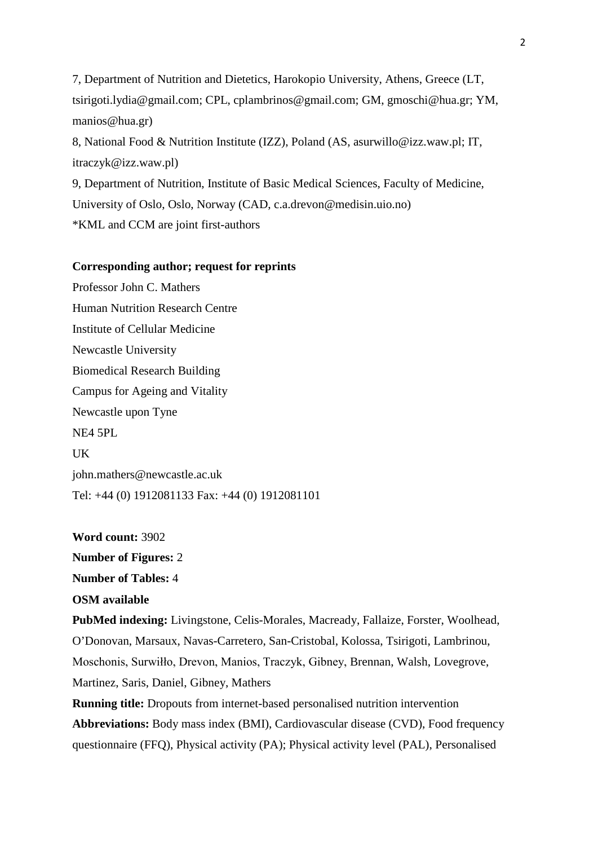7, Department of Nutrition and Dietetics, Harokopio University, Athens, Greece (LT, tsirigoti.lydia@gmail.com; CPL, cplambrinos@gmail.com; GM, gmoschi@hua.gr; YM, manios@hua.gr)

8, National Food & Nutrition Institute (IZZ), Poland (AS, asurwillo@izz.waw.pl; IT, itraczyk@izz.waw.pl)

9, Department of Nutrition, Institute of Basic Medical Sciences, Faculty of Medicine, University of Oslo, Oslo, Norway (CAD, c.a.drevon@medisin.uio.no) \*KML and CCM are joint first-authors

### **Corresponding author; request for reprints**

Professor John C. Mathers Human Nutrition Research Centre Institute of Cellular Medicine Newcastle University Biomedical Research Building Campus for Ageing and Vitality Newcastle upon Tyne NE4 5PL UK john.mathers@newcastle.ac.uk Tel: +44 (0) 1912081133 Fax: +44 (0) 1912081101

**Word count:** 3902 **Number of Figures:** 2 **Number of Tables:** 4 **OSM available PubMed indexing:** Livingstone, Celis-Morales, Macready, Fallaize, Forster, Woolhead, O'Donovan, Marsaux, Navas-Carretero, San-Cristobal, Kolossa, Tsirigoti, Lambrinou, Moschonis, Surwiłło, Drevon, Manios, Traczyk, Gibney, Brennan, Walsh, Lovegrove, Martinez, Saris, Daniel, Gibney, Mathers **Running title:** Dropouts from internet-based personalised nutrition intervention **Abbreviations:** Body mass index (BMI), Cardiovascular disease (CVD), Food frequency

questionnaire (FFQ), Physical activity (PA); Physical activity level (PAL), Personalised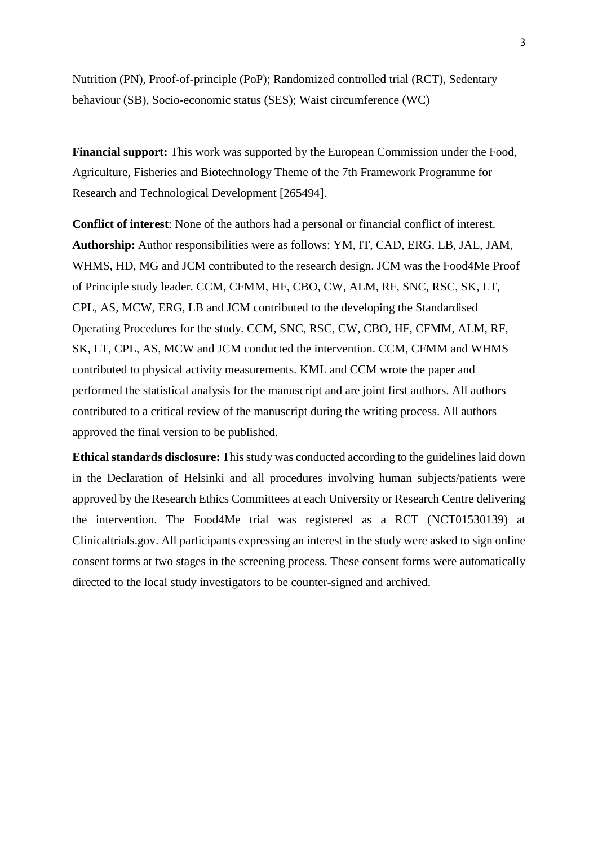Nutrition (PN), Proof-of-principle (PoP); Randomized controlled trial (RCT), Sedentary behaviour (SB), Socio-economic status (SES); Waist circumference (WC)

**Financial support:** This work was supported by the European Commission under the Food, Agriculture, Fisheries and Biotechnology Theme of the 7th Framework Programme for Research and Technological Development [265494].

**Conflict of interest**: None of the authors had a personal or financial conflict of interest. **Authorship:** Author responsibilities were as follows: YM, IT, CAD, ERG, LB, JAL, JAM, WHMS, HD, MG and JCM contributed to the research design. JCM was the Food4Me Proof of Principle study leader. CCM, CFMM, HF, CBO, CW, ALM, RF, SNC, RSC, SK, LT, CPL, AS, MCW, ERG, LB and JCM contributed to the developing the Standardised Operating Procedures for the study. CCM, SNC, RSC, CW, CBO, HF, CFMM, ALM, RF, SK, LT, CPL, AS, MCW and JCM conducted the intervention. CCM, CFMM and WHMS contributed to physical activity measurements. KML and CCM wrote the paper and performed the statistical analysis for the manuscript and are joint first authors. All authors contributed to a critical review of the manuscript during the writing process. All authors approved the final version to be published.

**Ethical standards disclosure:** This study was conducted according to the guidelines laid down in the Declaration of Helsinki and all procedures involving human subjects/patients were approved by the Research Ethics Committees at each University or Research Centre delivering the intervention. The Food4Me trial was registered as a RCT (NCT01530139) at Clinicaltrials.gov. All participants expressing an interest in the study were asked to sign online consent forms at two stages in the screening process. These consent forms were automatically directed to the local study investigators to be counter-signed and archived.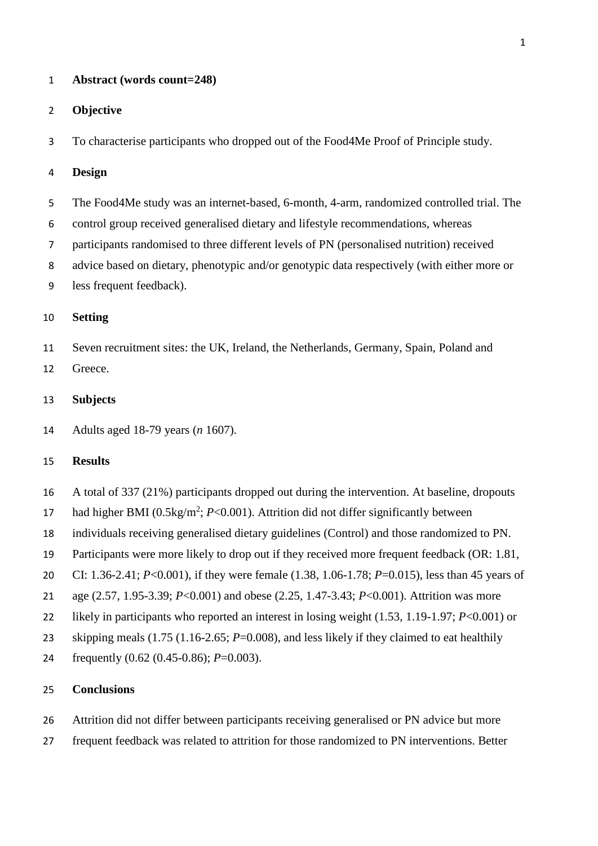#### **Abstract (words count=248)**

#### **Objective**

To characterise participants who dropped out of the Food4Me Proof of Principle study.

### **Design**

- The Food4Me study was an internet-based, 6-month, 4-arm, randomized controlled trial. The
- control group received generalised dietary and lifestyle recommendations, whereas
- participants randomised to three different levels of PN (personalised nutrition) received
- advice based on dietary, phenotypic and/or genotypic data respectively (with either more or
- less frequent feedback).

### **Setting**

- Seven recruitment sites: the UK, Ireland, the Netherlands, Germany, Spain, Poland and Greece.
- **Subjects**
- Adults aged 18-79 years (*n* 1607).

#### **Results**

- A total of 337 (21%) participants dropped out during the intervention. At baseline, dropouts
- 17 had higher BMI ( $0.5\text{kg/m}^2$ ;  $P<0.001$ ). Attrition did not differ significantly between
- individuals receiving generalised dietary guidelines (Control) and those randomized to PN.
- Participants were more likely to drop out if they received more frequent feedback (OR: 1.81,
- CI: 1.36-2.41; *P*<0.001), if they were female (1.38, 1.06-1.78; *P*=0.015), less than 45 years of
- age (2.57, 1.95-3.39; *P*<0.001) and obese (2.25, 1.47-3.43; *P*<0.001). Attrition was more
- likely in participants who reported an interest in losing weight (1.53, 1.19-1.97; *P*<0.001) or
- skipping meals (1.75 (1.16-2.65; *P*=0.008), and less likely if they claimed to eat healthily
- frequently (0.62 (0.45-0.86); *P*=0.003).

# **Conclusions**

- Attrition did not differ between participants receiving generalised or PN advice but more
- frequent feedback was related to attrition for those randomized to PN interventions. Better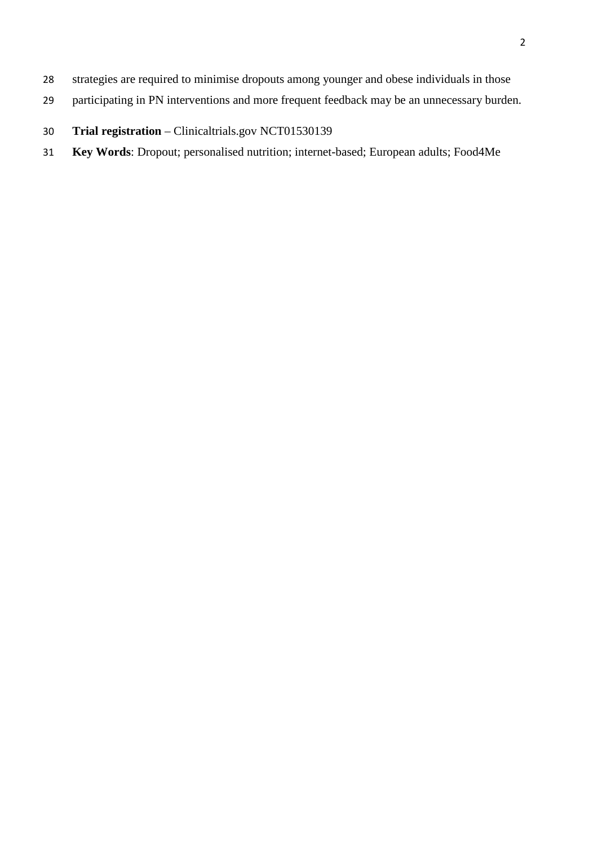- strategies are required to minimise dropouts among younger and obese individuals in those
- participating in PN interventions and more frequent feedback may be an unnecessary burden.
- **Trial registration** Clinicaltrials.gov NCT01530139
- **Key Words**: Dropout; personalised nutrition; internet-based; European adults; Food4Me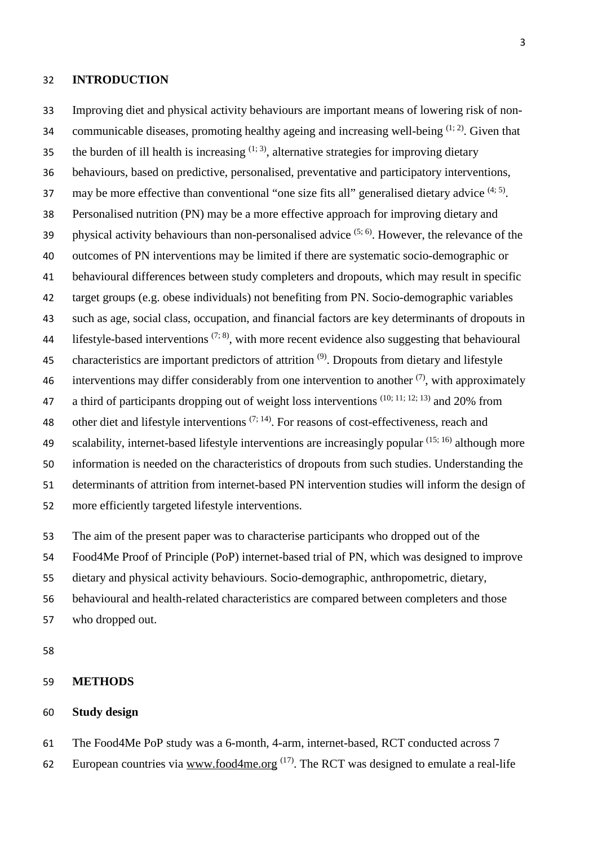#### **INTRODUCTION**

 Improving diet and physical activity behaviours are important means of lowering risk of non-34 communicable diseases, promoting healthy ageing and increasing well-being  $(1; 2)$  $(1; 2)$ . Given that the burden of ill health is increasing  $(1, 3)$  $(1, 3)$ , alternative strategies for improving dietary behaviours, based on predictive, personalised, preventative and participatory interventions, 37 may be more effective than conventional "one size fits all" generalised dietary advice  $(4, 5)$  $(4, 5)$ . Personalised nutrition (PN) may be a more effective approach for improving dietary and 39 physical activity behaviours than non-personalised advice  $(5, 6)$  $(5, 6)$ . However, the relevance of the outcomes of PN interventions may be limited if there are systematic socio-demographic or behavioural differences between study completers and dropouts, which may result in specific target groups (e.g. obese individuals) not benefiting from PN. Socio-demographic variables such as age, social class, occupation, and financial factors are key determinants of dropouts in 44 lifestyle-based interventions  $(7, 8)$  $(7, 8)$ , with more recent evidence also suggesting that behavioural 45 characteristics are important predictors of attrition  $(9)$ . Dropouts from dietary and lifestyle 46 interventions may differ considerably from one intervention to another  $(7)$ , with approximately 47 a third of participants dropping out of weight loss interventions  $(10; 11; 12; 13)$  $(10; 11; 12; 13)$  $(10; 11; 12; 13)$  $(10; 11; 12; 13)$  and 20% from 48 other diet and lifestyle interventions  $(7, 14)$  $(7, 14)$ . For reasons of cost-effectiveness, reach and 49 scalability, internet-based lifestyle interventions are increasingly popular  $(15; 16)$  $(15; 16)$  although more information is needed on the characteristics of dropouts from such studies. Understanding the determinants of attrition from internet-based PN intervention studies will inform the design of more efficiently targeted lifestyle interventions.

The aim of the present paper was to characterise participants who dropped out of the

Food4Me Proof of Principle (PoP) internet-based trial of PN, which was designed to improve

dietary and physical activity behaviours. Socio-demographic, anthropometric, dietary,

- behavioural and health-related characteristics are compared between completers and those
- who dropped out.

#### **METHODS**

### **Study design**

The Food4Me PoP study was a 6-month, 4-arm, internet-based, RCT conducted across 7

62 European countries via [www.food4me.org](http://www.food4me.org/)<sup> $(17)$ </sup>. The RCT was designed to emulate a real-life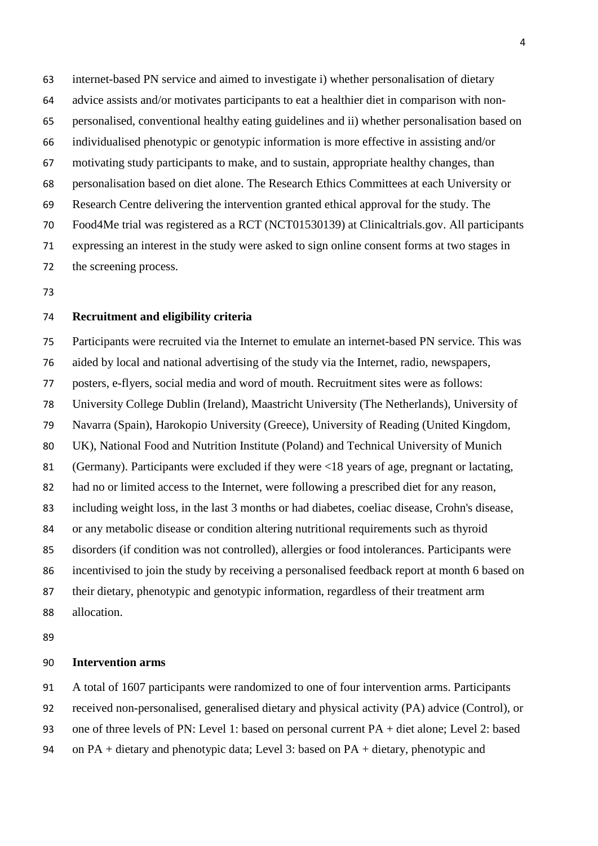internet-based PN service and aimed to investigate i) whether personalisation of dietary advice assists and/or motivates participants to eat a healthier diet in comparison with non- personalised, conventional healthy eating guidelines and ii) whether personalisation based on individualised phenotypic or genotypic information is more effective in assisting and/or motivating study participants to make, and to sustain, appropriate healthy changes, than personalisation based on diet alone. The Research Ethics Committees at each University or Research Centre delivering the intervention granted ethical approval for the study. The Food4Me trial was registered as a RCT (NCT01530139) at Clinicaltrials.gov. All participants expressing an interest in the study were asked to sign online consent forms at two stages in the screening process.

# **Recruitment and eligibility criteria**

 Participants were recruited via the Internet to emulate an internet-based PN service. This was aided by local and national advertising of the study via the Internet, radio, newspapers, posters, e-flyers, social media and word of mouth. Recruitment sites were as follows: University College Dublin (Ireland), Maastricht University (The Netherlands), University of Navarra (Spain), Harokopio University (Greece), University of Reading (United Kingdom, UK), National Food and Nutrition Institute (Poland) and Technical University of Munich (Germany). Participants were excluded if they were <18 years of age, pregnant or lactating, had no or limited access to the Internet, were following a prescribed diet for any reason, including weight loss, in the last 3 months or had diabetes, coeliac disease, Crohn's disease, or any metabolic disease or condition altering nutritional requirements such as thyroid disorders (if condition was not controlled), allergies or food intolerances. Participants were incentivised to join the study by receiving a personalised feedback report at month 6 based on their dietary, phenotypic and genotypic information, regardless of their treatment arm allocation.

### **Intervention arms**

A total of 1607 participants were randomized to one of four intervention arms. Participants

received non-personalised, generalised dietary and physical activity (PA) advice (Control), or

one of three levels of PN: Level 1: based on personal current PA + diet alone; Level 2: based

on PA + dietary and phenotypic data; Level 3: based on PA + dietary, phenotypic and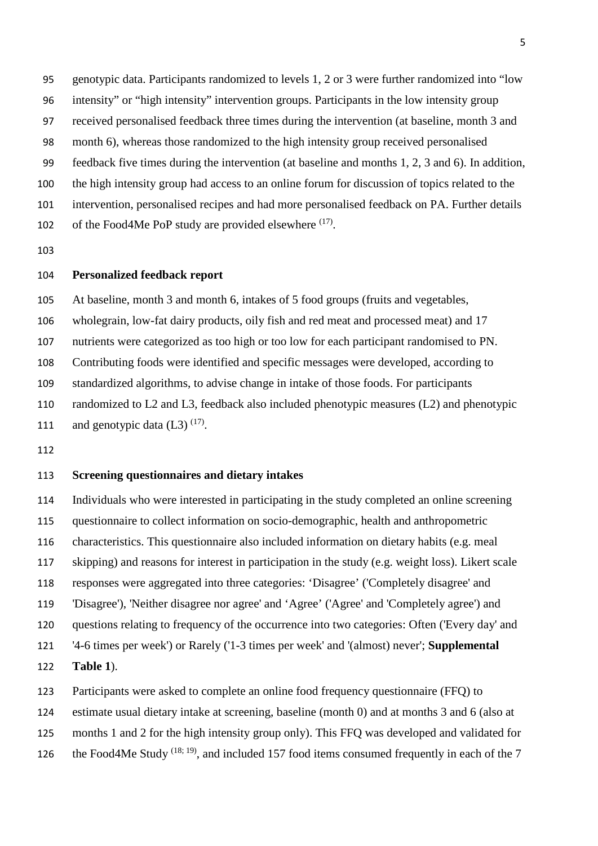- genotypic data. Participants randomized to levels 1, 2 or 3 were further randomized into "low
- intensity" or "high intensity" intervention groups. Participants in the low intensity group
- received personalised feedback three times during the intervention (at baseline, month 3 and
- month 6), whereas those randomized to the high intensity group received personalised
- feedback five times during the intervention (at baseline and months 1, 2, 3 and 6). In addition,
- the high intensity group had access to an online forum for discussion of topics related to the
- intervention, personalised recipes and had more personalised feedback on PA. Further details
- 102 of the Food4Me PoP study are provided elsewhere  $(17)$ .
- 

### **Personalized feedback report**

 At baseline, month 3 and month 6, intakes of 5 food groups (fruits and vegetables, wholegrain, low-fat dairy products, oily fish and red meat and processed meat) and 17 nutrients were categorized as too high or too low for each participant randomised to PN. Contributing foods were identified and specific messages were developed, according to standardized algorithms, to advise change in intake of those foods. For participants randomized to L2 and L3, feedback also included phenotypic measures (L2) and phenotypic 111 and genotypic data  $(L3)$  <sup>[\(17\)](#page-16-16)</sup>.

#### **Screening questionnaires and dietary intakes**

 Individuals who were interested in participating in the study completed an online screening questionnaire to collect information on socio-demographic, health and anthropometric characteristics. This questionnaire also included information on dietary habits (e.g. meal skipping) and reasons for interest in participation in the study (e.g. weight loss). Likert scale responses were aggregated into three categories: 'Disagree' ('Completely disagree' and 'Disagree'), 'Neither disagree nor agree' and 'Agree' ('Agree' and 'Completely agree') and questions relating to frequency of the occurrence into two categories: Often ('Every day' and '4-6 times per week') or Rarely ('1-3 times per week' and '(almost) never'; **Supplemental Table 1**).

- Participants were asked to complete an online food frequency questionnaire (FFQ) to
- estimate usual dietary intake at screening, baseline (month 0) and at months 3 and 6 (also at
- months 1 and 2 for the high intensity group only). This FFQ was developed and validated for
- 126 the Food4Me Study  $(18; 19)$  $(18; 19)$ , and included 157 food items consumed frequently in each of the 7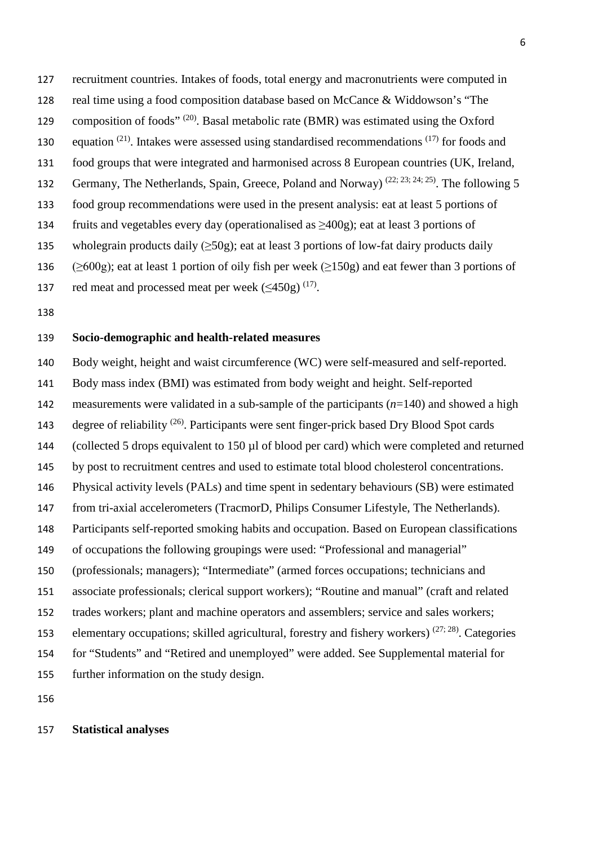recruitment countries. Intakes of foods, total energy and macronutrients were computed in real time using a food composition database based on McCance & Widdowson's "The 129 composition of foods"  $(20)$ . Basal metabolic rate (BMR) was estimated using the Oxford 130 equation  $(21)$ . Intakes were assessed using standardised recommendations  $(17)$  for foods and food groups that were integrated and harmonised across 8 European countries (UK, Ireland, 132 Germany, The Netherlands, Spain, Greece, Poland and Norway)<sup>[\(22;](#page-17-0) [23;](#page-17-1) [24;](#page-17-2) [25\)](#page-17-3)</sup>. The following 5 food group recommendations were used in the present analysis: eat at least 5 portions of 134 fruits and vegetables every day (operationalised as  $\geq 400$ g); eat at least 3 portions of 135 wholegrain products daily  $(\geq 50g)$ ; eat at least 3 portions of low-fat dairy products daily 136 ( $\geq 600$ g); eat at least 1 portion of oily fish per week ( $\geq 150$ g) and eat fewer than 3 portions of

- 137 red meat and processed meat per week  $(\leq 450g)^{(17)}$  $(\leq 450g)^{(17)}$  $(\leq 450g)^{(17)}$ .
- 

# **Socio-demographic and health-related measures**

 Body weight, height and waist circumference (WC) were self-measured and self-reported. Body mass index (BMI) was estimated from body weight and height. Self-reported measurements were validated in a sub-sample of the participants (*n*=140) and showed a high degree of reliability  $(26)$ . Participants were sent finger-prick based Dry Blood Spot cards (collected 5 drops equivalent to 150 µl of blood per card) which were completed and returned by post to recruitment centres and used to estimate total blood cholesterol concentrations. Physical activity levels (PALs) and time spent in sedentary behaviours (SB) were estimated from tri-axial accelerometers (TracmorD, Philips Consumer Lifestyle, The Netherlands). Participants self-reported smoking habits and occupation. Based on European classifications of occupations the following groupings were used: "Professional and managerial" (professionals; managers); "Intermediate" (armed forces occupations; technicians and associate professionals; clerical support workers); "Routine and manual" (craft and related trades workers; plant and machine operators and assemblers; service and sales workers; 153 elementary occupations; skilled agricultural, forestry and fishery workers)  $(27, 28)$  $(27, 28)$ . Categories for "Students" and "Retired and unemployed" were added. See Supplemental material for further information on the study design.

### **Statistical analyses**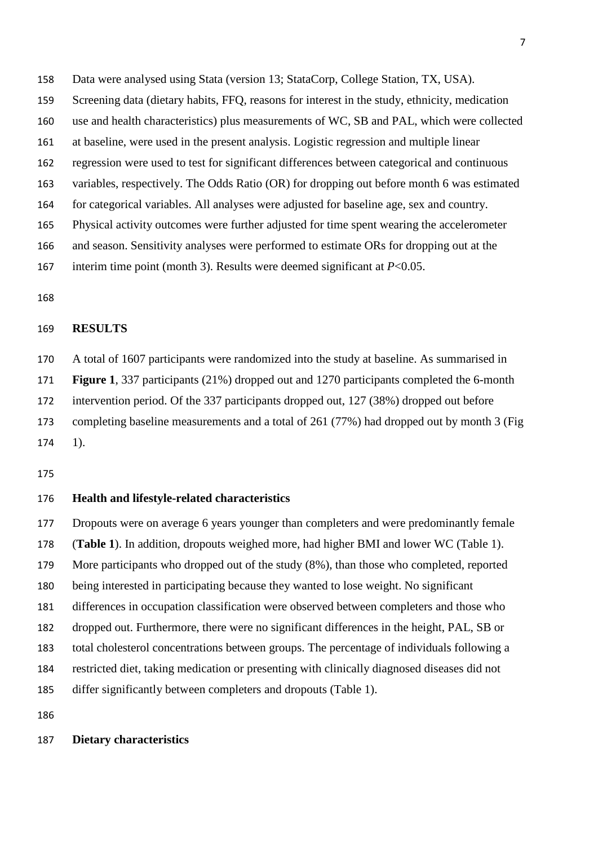- Screening data (dietary habits, FFQ, reasons for interest in the study, ethnicity, medication
- use and health characteristics) plus measurements of WC, SB and PAL, which were collected
- at baseline, were used in the present analysis. Logistic regression and multiple linear
- regression were used to test for significant differences between categorical and continuous
- variables, respectively. The Odds Ratio (OR) for dropping out before month 6 was estimated
- for categorical variables. All analyses were adjusted for baseline age, sex and country.
- Physical activity outcomes were further adjusted for time spent wearing the accelerometer
- and season. Sensitivity analyses were performed to estimate ORs for dropping out at the
- interim time point (month 3). Results were deemed significant at *P*<0.05.
- 

# **RESULTS**

 A total of 1607 participants were randomized into the study at baseline. As summarised in **Figure 1**, 337 participants (21%) dropped out and 1270 participants completed the 6-month intervention period. Of the 337 participants dropped out, 127 (38%) dropped out before completing baseline measurements and a total of 261 (77%) had dropped out by month 3 (Fig 1).

#### **Health and lifestyle-related characteristics**

 Dropouts were on average 6 years younger than completers and were predominantly female (**Table 1**). In addition, dropouts weighed more, had higher BMI and lower WC (Table 1). More participants who dropped out of the study (8%), than those who completed, reported being interested in participating because they wanted to lose weight. No significant differences in occupation classification were observed between completers and those who dropped out. Furthermore, there were no significant differences in the height, PAL, SB or total cholesterol concentrations between groups. The percentage of individuals following a restricted diet, taking medication or presenting with clinically diagnosed diseases did not differ significantly between completers and dropouts (Table 1).

### **Dietary characteristics**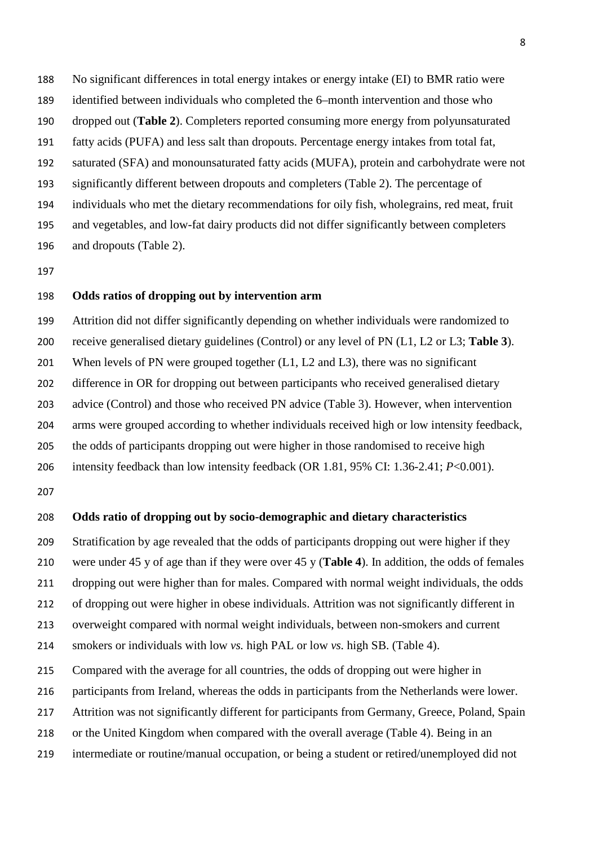No significant differences in total energy intakes or energy intake (EI) to BMR ratio were identified between individuals who completed the 6–month intervention and those who dropped out (**Table 2**). Completers reported consuming more energy from polyunsaturated fatty acids (PUFA) and less salt than dropouts. Percentage energy intakes from total fat, saturated (SFA) and monounsaturated fatty acids (MUFA), protein and carbohydrate were not significantly different between dropouts and completers (Table 2). The percentage of individuals who met the dietary recommendations for oily fish, wholegrains, red meat, fruit and vegetables, and low-fat dairy products did not differ significantly between completers and dropouts (Table 2).

### **Odds ratios of dropping out by intervention arm**

 Attrition did not differ significantly depending on whether individuals were randomized to receive generalised dietary guidelines (Control) or any level of PN (L1, L2 or L3; **Table 3**). When levels of PN were grouped together (L1, L2 and L3), there was no significant difference in OR for dropping out between participants who received generalised dietary advice (Control) and those who received PN advice (Table 3). However, when intervention arms were grouped according to whether individuals received high or low intensity feedback, the odds of participants dropping out were higher in those randomised to receive high

intensity feedback than low intensity feedback (OR 1.81, 95% CI: 1.36-2.41; *P*<0.001).

#### **Odds ratio of dropping out by socio-demographic and dietary characteristics**

Stratification by age revealed that the odds of participants dropping out were higher if they

were under 45 y of age than if they were over 45 y (**Table 4**). In addition, the odds of females

dropping out were higher than for males. Compared with normal weight individuals, the odds

of dropping out were higher in obese individuals. Attrition was not significantly different in

overweight compared with normal weight individuals, between non-smokers and current

smokers or individuals with low *vs.* high PAL or low *vs.* high SB. (Table 4).

Compared with the average for all countries, the odds of dropping out were higher in

participants from Ireland, whereas the odds in participants from the Netherlands were lower.

Attrition was not significantly different for participants from Germany, Greece, Poland, Spain

or the United Kingdom when compared with the overall average (Table 4). Being in an

intermediate or routine/manual occupation, or being a student or retired/unemployed did not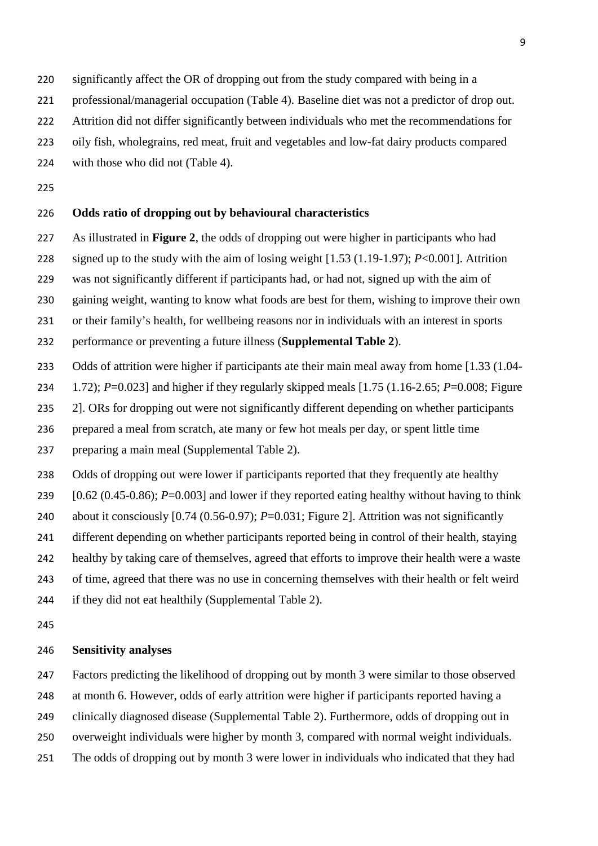- 220 significantly affect the OR of dropping out from the study compared with being in a
- professional/managerial occupation (Table 4). Baseline diet was not a predictor of drop out.
- Attrition did not differ significantly between individuals who met the recommendations for
- oily fish, wholegrains, red meat, fruit and vegetables and low-fat dairy products compared
- 224 with those who did not (Table 4).
- 

# **Odds ratio of dropping out by behavioural characteristics**

- As illustrated in **Figure 2**, the odds of dropping out were higher in participants who had
- signed up to the study with the aim of losing weight [1.53 (1.19-1.97); *P*<0.001]. Attrition
- was not significantly different if participants had, or had not, signed up with the aim of
- gaining weight, wanting to know what foods are best for them, wishing to improve their own
- or their family's health, for wellbeing reasons nor in individuals with an interest in sports
- performance or preventing a future illness (**Supplemental Table 2**).
- Odds of attrition were higher if participants ate their main meal away from home [1.33 (1.04-
- 1.72); *P*=0.023] and higher if they regularly skipped meals [1.75 (1.16-2.65; *P*=0.008; Figure
- 235 2]. ORs for dropping out were not significantly different depending on whether participants
- prepared a meal from scratch, ate many or few hot meals per day, or spent little time
- preparing a main meal (Supplemental Table 2).
- 238 Odds of dropping out were lower if participants reported that they frequently ate healthy
- [0.62 (0.45-0.86); *P*=0.003] and lower if they reported eating healthy without having to think
- 240 about it consciously [0.74 (0.56-0.97); *P*=0.031; Figure 2]. Attrition was not significantly
- different depending on whether participants reported being in control of their health, staying
- healthy by taking care of themselves, agreed that efforts to improve their health were a waste
- of time, agreed that there was no use in concerning themselves with their health or felt weird if they did not eat healthily (Supplemental Table 2).
- 

#### **Sensitivity analyses**

- Factors predicting the likelihood of dropping out by month 3 were similar to those observed
- at month 6. However, odds of early attrition were higher if participants reported having a
- clinically diagnosed disease (Supplemental Table 2). Furthermore, odds of dropping out in
- overweight individuals were higher by month 3, compared with normal weight individuals.
- The odds of dropping out by month 3 were lower in individuals who indicated that they had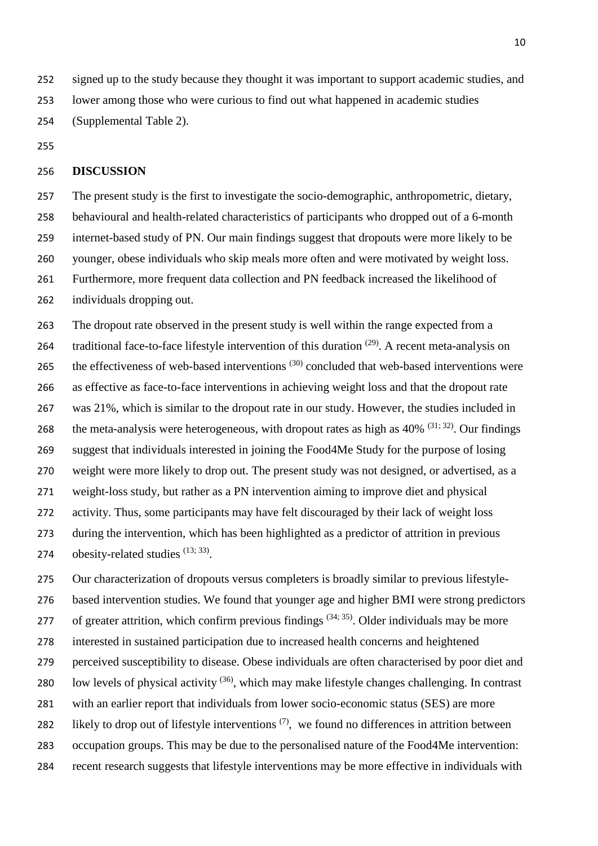signed up to the study because they thought it was important to support academic studies, and

lower among those who were curious to find out what happened in academic studies

(Supplemental Table 2).

### **DISCUSSION**

 The present study is the first to investigate the socio-demographic, anthropometric, dietary, behavioural and health-related characteristics of participants who dropped out of a 6-month internet-based study of PN. Our main findings suggest that dropouts were more likely to be younger, obese individuals who skip meals more often and were motivated by weight loss. Furthermore, more frequent data collection and PN feedback increased the likelihood of individuals dropping out.

 The dropout rate observed in the present study is well within the range expected from a 264 traditional face-to-face lifestyle intervention of this duration  $(29)$ . A recent meta-analysis on 265 the effectiveness of web-based interventions  $(30)$  concluded that web-based interventions were as effective as face-to-face interventions in achieving weight loss and that the dropout rate was 21%, which is similar to the dropout rate in our study. However, the studies included in 268 the meta-analysis were heterogeneous, with dropout rates as high as  $40\%$  <sup>[\(31;](#page-17-9) [32\)](#page-17-10)</sup>. Our findings suggest that individuals interested in joining the Food4Me Study for the purpose of losing weight were more likely to drop out. The present study was not designed, or advertised, as a weight-loss study, but rather as a PN intervention aiming to improve diet and physical activity. Thus, some participants may have felt discouraged by their lack of weight loss during the intervention, which has been highlighted as a predictor of attrition in previous 274 obesity-related studies  $(13; 33)$  $(13; 33)$ .

 Our characterization of dropouts versus completers is broadly similar to previous lifestyle- based intervention studies. We found that younger age and higher BMI were strong predictors 277 of greater attrition, which confirm previous findings  $(34; 35)$  $(34; 35)$ . Older individuals may be more interested in sustained participation due to increased health concerns and heightened perceived susceptibility to disease. Obese individuals are often characterised by poor diet and 280 low levels of physical activity  $(36)$ , which may make lifestyle changes challenging. In contrast with an earlier report that individuals from lower socio-economic status (SES) are more 282 likely to drop out of lifestyle interventions  $(7)$ , we found no differences in attrition between occupation groups. This may be due to the personalised nature of the Food4Me intervention: recent research suggests that lifestyle interventions may be more effective in individuals with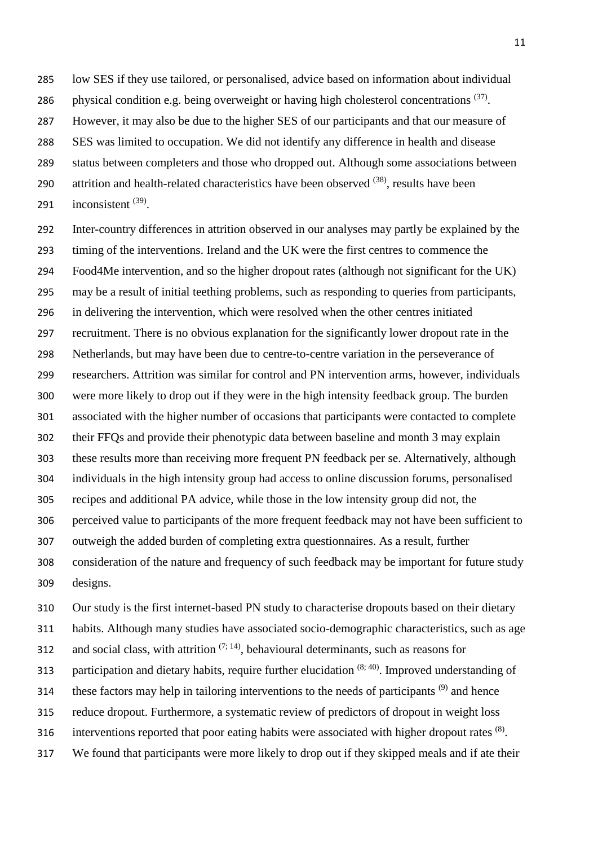low SES if they use tailored, or personalised, advice based on information about individual

286 physical condition e.g. being overweight or having high cholesterol concentrations  $(37)$ .

However, it may also be due to the higher SES of our participants and that our measure of

SES was limited to occupation. We did not identify any difference in health and disease

status between completers and those who dropped out. Although some associations between

290 attrition and health-related characteristics have been observed  $(38)$ , results have been

291 inconsistent  $(39)$ .

 Inter-country differences in attrition observed in our analyses may partly be explained by the timing of the interventions. Ireland and the UK were the first centres to commence the Food4Me intervention, and so the higher dropout rates (although not significant for the UK) may be a result of initial teething problems, such as responding to queries from participants, in delivering the intervention, which were resolved when the other centres initiated recruitment. There is no obvious explanation for the significantly lower dropout rate in the Netherlands, but may have been due to centre-to-centre variation in the perseverance of researchers. Attrition was similar for control and PN intervention arms, however, individuals were more likely to drop out if they were in the high intensity feedback group. The burden associated with the higher number of occasions that participants were contacted to complete their FFQs and provide their phenotypic data between baseline and month 3 may explain these results more than receiving more frequent PN feedback per se. Alternatively, although individuals in the high intensity group had access to online discussion forums, personalised recipes and additional PA advice, while those in the low intensity group did not, the perceived value to participants of the more frequent feedback may not have been sufficient to outweigh the added burden of completing extra questionnaires. As a result, further consideration of the nature and frequency of such feedback may be important for future study designs.

Our study is the first internet-based PN study to characterise dropouts based on their dietary

habits. Although many studies have associated socio-demographic characteristics, such as age

312 and social class, with attrition  $(7, 14)$  $(7, 14)$ , behavioural determinants, such as reasons for

313 participation and dietary habits, require further elucidation  $(8, 40)$  $(8, 40)$ . Improved understanding of

these factors may help in tailoring interventions to the needs of participants  $(9)$  and hence

reduce dropout. Furthermore, a systematic review of predictors of dropout in weight loss

316 interventions reported that poor eating habits were associated with higher dropout rates  $(8)$ .

We found that participants were more likely to drop out if they skipped meals and if ate their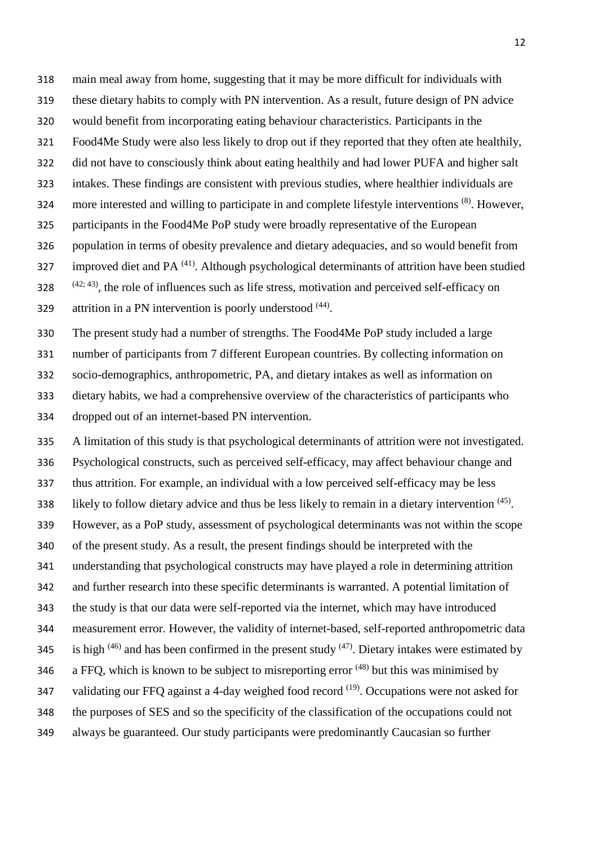- main meal away from home, suggesting that it may be more difficult for individuals with
- these dietary habits to comply with PN intervention. As a result, future design of PN advice
- would benefit from incorporating eating behaviour characteristics. Participants in the
- Food4Me Study were also less likely to drop out if they reported that they often ate healthily,
- did not have to consciously think about eating healthily and had lower PUFA and higher salt
- intakes. These findings are consistent with previous studies, where healthier individuals are
- 324 more interested and willing to participate in and complete lifestyle interventions <sup>[\(8\)](#page-16-7)</sup>. However,
- participants in the Food4Me PoP study were broadly representative of the European
- population in terms of obesity prevalence and dietary adequacies, and so would benefit from
- 327 improved diet and PA $^{(41)}$  $^{(41)}$  $^{(41)}$ . Although psychological determinants of attrition have been studied
- $(42; 43)$  $(42; 43)$ , the role of influences such as life stress, motivation and perceived self-efficacy on
- 329 attrition in a PN intervention is poorly understood  $(44)$ .
- The present study had a number of strengths. The Food4Me PoP study included a large
- number of participants from 7 different European countries. By collecting information on
- socio-demographics, anthropometric, PA, and dietary intakes as well as information on
- dietary habits, we had a comprehensive overview of the characteristics of participants who
- dropped out of an internet-based PN intervention.
- A limitation of this study is that psychological determinants of attrition were not investigated. Psychological constructs, such as perceived self-efficacy, may affect behaviour change and thus attrition. For example, an individual with a low perceived self-efficacy may be less 338 likely to follow dietary advice and thus be less likely to remain in a dietary intervention  $(45)$ . However, as a PoP study, assessment of psychological determinants was not within the scope of the present study. As a result, the present findings should be interpreted with the understanding that psychological constructs may have played a role in determining attrition and further research into these specific determinants is warranted. A potential limitation of the study is that our data were self-reported via the internet, which may have introduced measurement error. However, the validity of internet-based, self-reported anthropometric data 345 is high  $(46)$  and has been confirmed in the present study  $(47)$ . Dietary intakes were estimated by 346 a FFQ, which is known to be subject to misreporting error  $(48)$  but this was minimised by 347 validating our FFQ against a 4-day weighed food record  $(19)$ . Occupations were not asked for the purposes of SES and so the specificity of the classification of the occupations could not always be guaranteed. Our study participants were predominantly Caucasian so further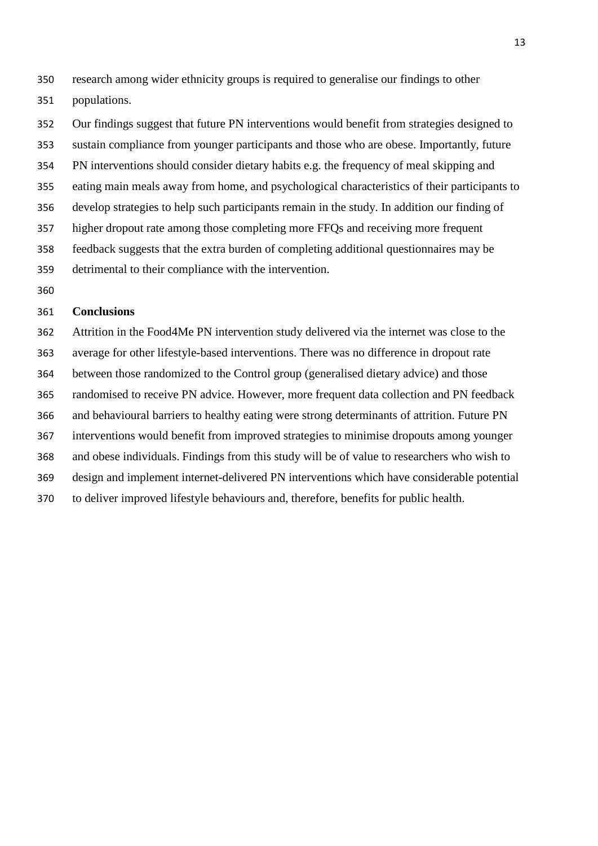research among wider ethnicity groups is required to generalise our findings to other populations.

 Our findings suggest that future PN interventions would benefit from strategies designed to sustain compliance from younger participants and those who are obese. Importantly, future PN interventions should consider dietary habits e.g. the frequency of meal skipping and eating main meals away from home, and psychological characteristics of their participants to develop strategies to help such participants remain in the study. In addition our finding of higher dropout rate among those completing more FFQs and receiving more frequent feedback suggests that the extra burden of completing additional questionnaires may be detrimental to their compliance with the intervention.

#### **Conclusions**

 Attrition in the Food4Me PN intervention study delivered via the internet was close to the average for other lifestyle-based interventions. There was no difference in dropout rate between those randomized to the Control group (generalised dietary advice) and those randomised to receive PN advice. However, more frequent data collection and PN feedback and behavioural barriers to healthy eating were strong determinants of attrition. Future PN interventions would benefit from improved strategies to minimise dropouts among younger and obese individuals. Findings from this study will be of value to researchers who wish to design and implement internet-delivered PN interventions which have considerable potential to deliver improved lifestyle behaviours and, therefore, benefits for public health.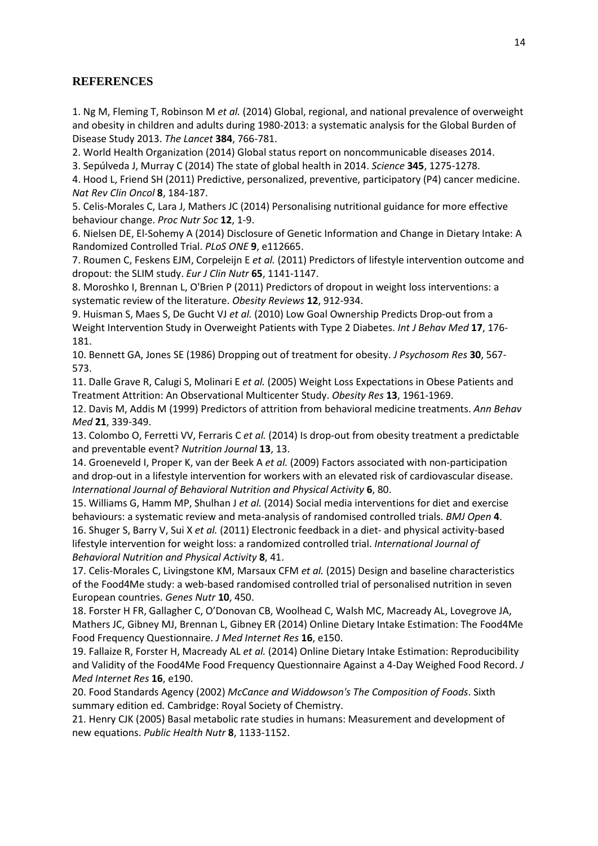# **REFERENCES**

<span id="page-16-0"></span>1. Ng M, Fleming T, Robinson M *et al.* (2014) Global, regional, and national prevalence of overweight and obesity in children and adults during 1980-2013: a systematic analysis for the Global Burden of Disease Study 2013. *The Lancet* **384**, 766-781.

<span id="page-16-1"></span>2. World Health Organization (2014) Global status report on noncommunicable diseases 2014.

<span id="page-16-2"></span>3. Sepúlveda J, Murray C (2014) The state of global health in 2014. *Science* **345**, 1275-1278.

<span id="page-16-3"></span>4. Hood L, Friend SH (2011) Predictive, personalized, preventive, participatory (P4) cancer medicine. *Nat Rev Clin Oncol* **8**, 184-187.

<span id="page-16-4"></span>5. Celis-Morales C, Lara J, Mathers JC (2014) Personalising nutritional guidance for more effective behaviour change. *Proc Nutr Soc* **12**, 1-9.

<span id="page-16-5"></span>6. Nielsen DE, El-Sohemy A (2014) Disclosure of Genetic Information and Change in Dietary Intake: A Randomized Controlled Trial. *PLoS ONE* **9**, e112665.

<span id="page-16-6"></span>7. Roumen C, Feskens EJM, Corpeleijn E *et al.* (2011) Predictors of lifestyle intervention outcome and dropout: the SLIM study. *Eur J Clin Nutr* **65**, 1141-1147.

<span id="page-16-7"></span>8. Moroshko I, Brennan L, O'Brien P (2011) Predictors of dropout in weight loss interventions: a systematic review of the literature. *Obesity Reviews* **12**, 912-934.

<span id="page-16-8"></span>9. Huisman S, Maes S, De Gucht VJ *et al.* (2010) Low Goal Ownership Predicts Drop-out from a Weight Intervention Study in Overweight Patients with Type 2 Diabetes. *Int J Behav Med* **17**, 176- 181.

<span id="page-16-9"></span>10. Bennett GA, Jones SE (1986) Dropping out of treatment for obesity. *J Psychosom Res* **30**, 567- 573.

<span id="page-16-10"></span>11. Dalle Grave R, Calugi S, Molinari E *et al.* (2005) Weight Loss Expectations in Obese Patients and Treatment Attrition: An Observational Multicenter Study. *Obesity Res* **13**, 1961-1969.

<span id="page-16-11"></span>12. Davis M, Addis M (1999) Predictors of attrition from behavioral medicine treatments. *Ann Behav Med* **21**, 339-349.

<span id="page-16-12"></span>13. Colombo O, Ferretti VV, Ferraris C *et al.* (2014) Is drop-out from obesity treatment a predictable and preventable event? *Nutrition Journal* **13**, 13.

<span id="page-16-13"></span>14. Groeneveld I, Proper K, van der Beek A *et al.* (2009) Factors associated with non-participation and drop-out in a lifestyle intervention for workers with an elevated risk of cardiovascular disease. *International Journal of Behavioral Nutrition and Physical Activity* **6**, 80.

<span id="page-16-15"></span><span id="page-16-14"></span>15. Williams G, Hamm MP, Shulhan J *et al.* (2014) Social media interventions for diet and exercise behaviours: a systematic review and meta-analysis of randomised controlled trials. *BMJ Open* **4**. 16. Shuger S, Barry V, Sui X *et al.* (2011) Electronic feedback in a diet- and physical activity-based lifestyle intervention for weight loss: a randomized controlled trial. *International Journal of Behavioral Nutrition and Physical Activity* **8**, 41.

<span id="page-16-16"></span>17. Celis-Morales C, Livingstone KM, Marsaux CFM *et al.* (2015) Design and baseline characteristics of the Food4Me study: a web-based randomised controlled trial of personalised nutrition in seven European countries. *Genes Nutr* **10**, 450.

<span id="page-16-17"></span>18. Forster H FR, Gallagher C, O'Donovan CB, Woolhead C, Walsh MC, Macready AL, Lovegrove JA, Mathers JC, Gibney MJ, Brennan L, Gibney ER (2014) Online Dietary Intake Estimation: The Food4Me Food Frequency Questionnaire. *J Med Internet Res* **16**, e150.

<span id="page-16-18"></span>19. Fallaize R, Forster H, Macready AL *et al.* (2014) Online Dietary Intake Estimation: Reproducibility and Validity of the Food4Me Food Frequency Questionnaire Against a 4-Day Weighed Food Record. *J Med Internet Res* **16**, e190.

<span id="page-16-19"></span>20. Food Standards Agency (2002) *McCance and Widdowson's The Composition of Foods*. Sixth summary edition ed*.* Cambridge: Royal Society of Chemistry.

<span id="page-16-20"></span>21. Henry CJK (2005) Basal metabolic rate studies in humans: Measurement and development of new equations. *Public Health Nutr* **8**, 1133-1152.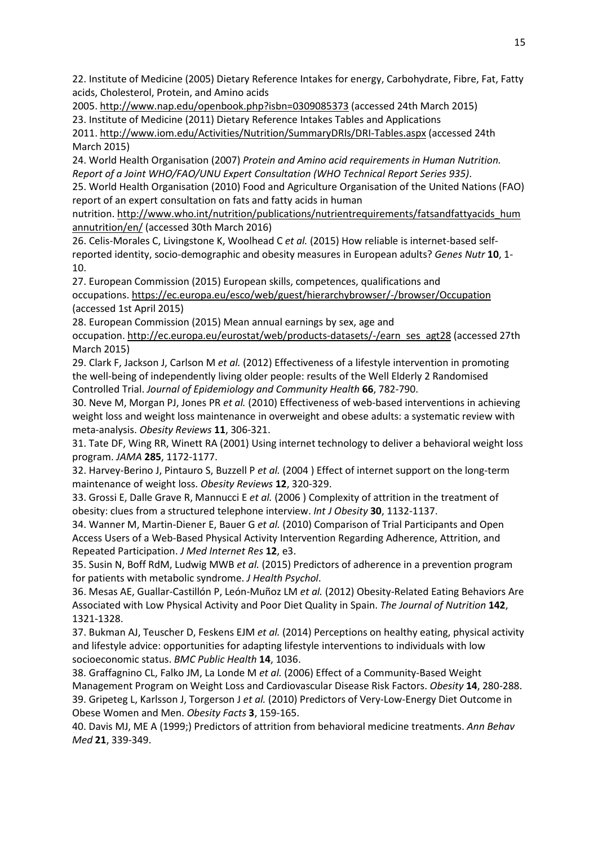<span id="page-17-0"></span>22. Institute of Medicine (2005) Dietary Reference Intakes for energy, Carbohydrate, Fibre, Fat, Fatty acids, Cholesterol, Protein, and Amino acids

<span id="page-17-1"></span>2005[. http://www.nap.edu/openbook.php?isbn=0309085373](http://www.nap.edu/openbook.php?isbn=0309085373) (accessed 24th March 2015) 23. Institute of Medicine (2011) Dietary Reference Intakes Tables and Applications 2011[. http://www.iom.edu/Activities/Nutrition/SummaryDRIs/DRI-Tables.aspx](http://www.iom.edu/Activities/Nutrition/SummaryDRIs/DRI-Tables.aspx) (accessed 24th March 2015)

<span id="page-17-2"></span>24. World Health Organisation (2007) *Protein and Amino acid requirements in Human Nutrition. Report of a Joint WHO/FAO/UNU Expert Consultation (WHO Technical Report Series 935)*.

<span id="page-17-3"></span>25. World Health Organisation (2010) Food and Agriculture Organisation of the United Nations (FAO) report of an expert consultation on fats and fatty acids in human

nutrition[. http://www.who.int/nutrition/publications/nutrientrequirements/fatsandfattyacids\\_hum](http://www.who.int/nutrition/publications/nutrientrequirements/fatsandfattyacids_humannutrition/en/) [annutrition/en/](http://www.who.int/nutrition/publications/nutrientrequirements/fatsandfattyacids_humannutrition/en/) (accessed 30th March 2016)

<span id="page-17-4"></span>26. Celis-Morales C, Livingstone K, Woolhead C *et al.* (2015) How reliable is internet-based selfreported identity, socio-demographic and obesity measures in European adults? *Genes Nutr* **10**, 1- 10.

<span id="page-17-5"></span>27. European Commission (2015) European skills, competences, qualifications and occupations.<https://ec.europa.eu/esco/web/guest/hierarchybrowser/-/browser/Occupation> (accessed 1st April 2015)

<span id="page-17-6"></span>28. European Commission (2015) Mean annual earnings by sex, age and

occupation. [http://ec.europa.eu/eurostat/web/products-datasets/-/earn\\_ses\\_agt28](http://ec.europa.eu/eurostat/web/products-datasets/-/earn_ses_agt28) (accessed 27th March 2015)

<span id="page-17-7"></span>29. Clark F, Jackson J, Carlson M *et al.* (2012) Effectiveness of a lifestyle intervention in promoting the well-being of independently living older people: results of the Well Elderly 2 Randomised Controlled Trial. *Journal of Epidemiology and Community Health* **66**, 782-790.

<span id="page-17-8"></span>30. Neve M, Morgan PJ, Jones PR *et al.* (2010) Effectiveness of web-based interventions in achieving weight loss and weight loss maintenance in overweight and obese adults: a systematic review with meta-analysis. *Obesity Reviews* **11**, 306-321.

<span id="page-17-9"></span>31. Tate DF, Wing RR, Winett RA (2001) Using internet technology to deliver a behavioral weight loss program. *JAMA* **285**, 1172-1177.

<span id="page-17-10"></span>32. Harvey-Berino J, Pintauro S, Buzzell P *et al.* (2004 ) Effect of internet support on the long-term maintenance of weight loss. *Obesity Reviews* **12**, 320-329.

<span id="page-17-11"></span>33. Grossi E, Dalle Grave R, Mannucci E *et al.* (2006 ) Complexity of attrition in the treatment of obesity: clues from a structured telephone interview. *Int J Obesity* **30**, 1132-1137.

<span id="page-17-12"></span>34. Wanner M, Martin-Diener E, Bauer G *et al.* (2010) Comparison of Trial Participants and Open Access Users of a Web-Based Physical Activity Intervention Regarding Adherence, Attrition, and Repeated Participation. *J Med Internet Res* **12**, e3.

<span id="page-17-13"></span>35. Susin N, Boff RdM, Ludwig MWB *et al.* (2015) Predictors of adherence in a prevention program for patients with metabolic syndrome. *J Health Psychol*.

<span id="page-17-14"></span>36. Mesas AE, Guallar-Castillón P, León-Muñoz LM *et al.* (2012) Obesity-Related Eating Behaviors Are Associated with Low Physical Activity and Poor Diet Quality in Spain. *The Journal of Nutrition* **142**, 1321-1328.

<span id="page-17-15"></span>37. Bukman AJ, Teuscher D, Feskens EJM *et al.* (2014) Perceptions on healthy eating, physical activity and lifestyle advice: opportunities for adapting lifestyle interventions to individuals with low socioeconomic status. *BMC Public Health* **14**, 1036.

<span id="page-17-17"></span><span id="page-17-16"></span>38. Graffagnino CL, Falko JM, La Londe M *et al.* (2006) Effect of a Community-Based Weight Management Program on Weight Loss and Cardiovascular Disease Risk Factors. *Obesity* **14**, 280-288. 39. Gripeteg L, Karlsson J, Torgerson J *et al.* (2010) Predictors of Very-Low-Energy Diet Outcome in Obese Women and Men. *Obesity Facts* **3**, 159-165.

<span id="page-17-18"></span>40. Davis MJ, ME A (1999;) Predictors of attrition from behavioral medicine treatments. *Ann Behav Med* **21**, 339-349.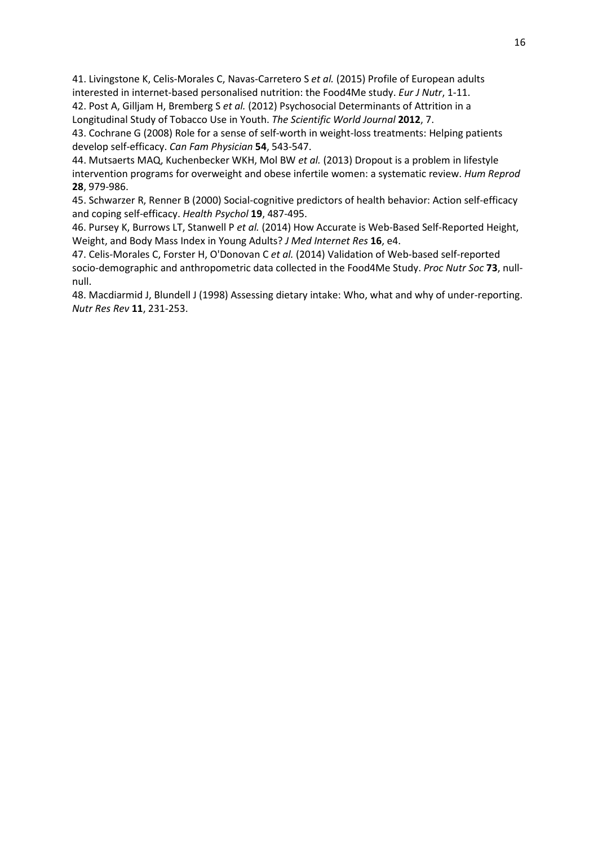<span id="page-18-0"></span>41. Livingstone K, Celis-Morales C, Navas-Carretero S *et al.* (2015) Profile of European adults interested in internet-based personalised nutrition: the Food4Me study. *Eur J Nutr*, 1-11.

<span id="page-18-1"></span>42. Post A, Gilljam H, Bremberg S *et al.* (2012) Psychosocial Determinants of Attrition in a Longitudinal Study of Tobacco Use in Youth. *The Scientific World Journal* **2012**, 7.

<span id="page-18-2"></span>43. Cochrane G (2008) Role for a sense of self-worth in weight-loss treatments: Helping patients develop self-efficacy. *Can Fam Physician* **54**, 543-547.

<span id="page-18-3"></span>44. Mutsaerts MAQ, Kuchenbecker WKH, Mol BW *et al.* (2013) Dropout is a problem in lifestyle intervention programs for overweight and obese infertile women: a systematic review. *Hum Reprod* **28**, 979-986.

<span id="page-18-4"></span>45. Schwarzer R, Renner B (2000) Social-cognitive predictors of health behavior: Action self-efficacy and coping self-efficacy. *Health Psychol* **19**, 487-495.

<span id="page-18-5"></span>46. Pursey K, Burrows LT, Stanwell P *et al.* (2014) How Accurate is Web-Based Self-Reported Height, Weight, and Body Mass Index in Young Adults? *J Med Internet Res* **16**, e4.

<span id="page-18-6"></span>47. Celis-Morales C, Forster H, O'Donovan C *et al.* (2014) Validation of Web-based self-reported socio-demographic and anthropometric data collected in the Food4Me Study. *Proc Nutr Soc* **73**, nullnull.

<span id="page-18-7"></span>48. Macdiarmid J, Blundell J (1998) Assessing dietary intake: Who, what and why of under-reporting. *Nutr Res Rev* **11**, 231-253.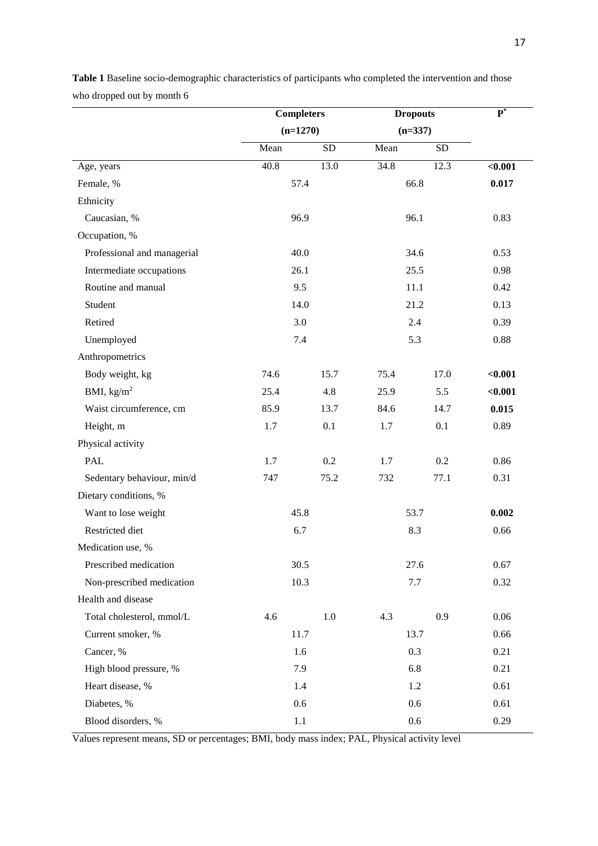|                             | <b>Completers</b> |            | <b>Dropouts</b> |            | $\overline{\mathbf{P}^*}$ |  |
|-----------------------------|-------------------|------------|-----------------|------------|---------------------------|--|
|                             | $(n=1270)$        |            | $(n=337)$       |            |                           |  |
|                             | Mean              | ${\rm SD}$ | Mean            | ${\rm SD}$ |                           |  |
| Age, years                  | 40.8              | 13.0       | 34.8            | 12.3       | $0.001$                   |  |
| Female, %                   | 57.4              |            | 66.8            |            | 0.017                     |  |
| Ethnicity                   |                   |            |                 |            |                           |  |
| Caucasian, %                | 96.9              |            | 96.1            |            | 0.83                      |  |
| Occupation, %               |                   |            |                 |            |                           |  |
| Professional and managerial | 40.0              |            |                 | 34.6       | 0.53                      |  |
| Intermediate occupations    | 26.1              |            | 25.5            |            | 0.98                      |  |
| Routine and manual          | 9.5               |            | 11.1            |            | 0.42                      |  |
| Student                     | 14.0              |            | 21.2            |            | 0.13                      |  |
| Retired                     | 3.0               |            | 2.4             |            | 0.39                      |  |
| Unemployed                  | 7.4               |            | 5.3             |            | 0.88                      |  |
| Anthropometrics             |                   |            |                 |            |                           |  |
| Body weight, kg             | 74.6              | 15.7       | 75.4            | 17.0       | $0.001$                   |  |
| BMI, $\text{kg/m}^2$        | 25.4              | 4.8        | 25.9            | 5.5        | $0.001$                   |  |
| Waist circumference, cm     | 85.9              | 13.7       | 84.6            | 14.7       | 0.015                     |  |
| Height, m                   | 1.7               | 0.1        | 1.7             | 0.1        | 0.89                      |  |
| Physical activity           |                   |            |                 |            |                           |  |
| PAL                         | 1.7               | 0.2        | 1.7             | 0.2        | 0.86                      |  |
| Sedentary behaviour, min/d  | 747               | 75.2       | 732             | 77.1       | 0.31                      |  |
| Dietary conditions, %       |                   |            |                 |            |                           |  |
| Want to lose weight         | 45.8              |            | 53.7            |            | 0.002                     |  |
| Restricted diet             | 6.7               |            | 8.3             |            | 0.66                      |  |
| Medication use, %           |                   |            |                 |            |                           |  |
| Prescribed medication       | 30.5              |            | 27.6            |            | 0.67                      |  |
| Non-prescribed medication   | 10.3              |            | 7.7             |            | 0.32                      |  |
| Health and disease          |                   |            |                 |            |                           |  |
| Total cholesterol, mmol/L   | 4.6               | $1.0\,$    | 4.3             | 0.9        | 0.06                      |  |
| Current smoker, %           | 11.7              |            | 13.7            |            | 0.66                      |  |
| Cancer, %                   | 1.6               |            | 0.3             |            | 0.21                      |  |
| High blood pressure, %      | 7.9               |            | 6.8             |            | 0.21                      |  |
| Heart disease, %            | 1.4               |            |                 | 1.2        | 0.61                      |  |
| Diabetes, %                 | 0.6               |            | 0.6             |            | 0.61                      |  |
| Blood disorders, %          | 1.1               |            | 0.6             |            | 0.29                      |  |

**Table 1** Baseline socio-demographic characteristics of participants who completed the intervention and those who dropped out by month 6

Values represent means, SD or percentages; BMI, body mass index; PAL, Physical activity level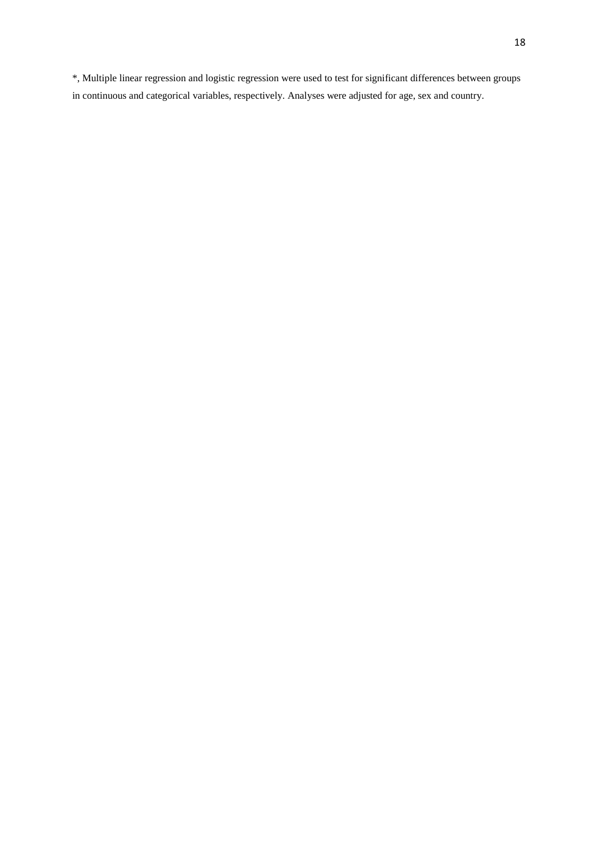\*, Multiple linear regression and logistic regression were used to test for significant differences between groups in continuous and categorical variables, respectively. Analyses were adjusted for age, sex and country.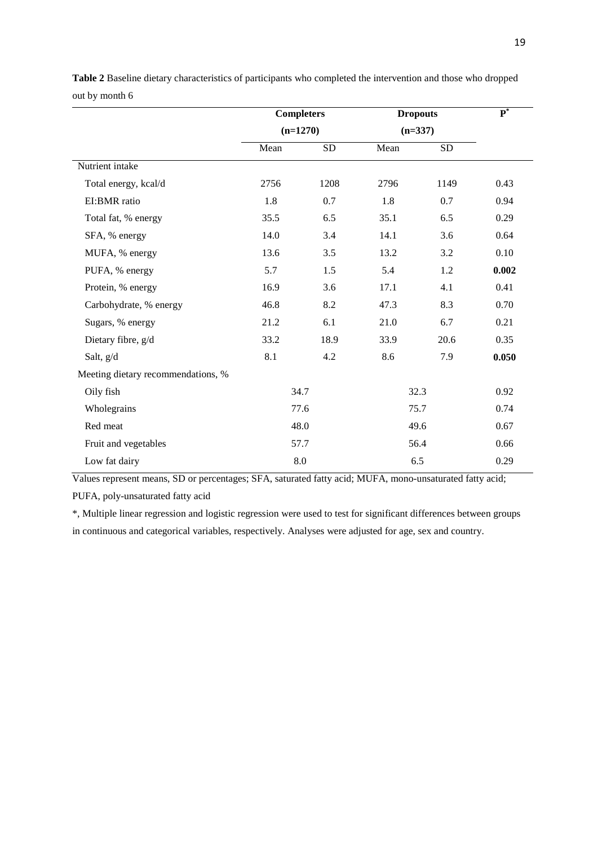|                                    | <b>Completers</b><br>$(n=1270)$ |                    | <b>Dropouts</b><br>$(n=337)$ |           | $\overline{\mathbf{P}^*}$ |
|------------------------------------|---------------------------------|--------------------|------------------------------|-----------|---------------------------|
|                                    |                                 |                    |                              |           |                           |
|                                    | Mean                            | <b>SD</b>          | Mean                         | <b>SD</b> |                           |
| Nutrient intake                    |                                 |                    |                              |           |                           |
| Total energy, kcal/d               | 2756                            | 1208               | 2796                         | 1149      | 0.43                      |
| EI:BMR ratio                       | 1.8                             | 0.7                | 1.8                          | 0.7       | 0.94                      |
| Total fat, % energy                | 35.5                            | 6.5                | 35.1                         | 6.5       | 0.29                      |
| SFA, % energy                      | 14.0                            | 3.4                | 14.1                         | 3.6       | 0.64                      |
| MUFA, % energy                     | 13.6                            | 3.5                | 13.2                         | 3.2       | 0.10                      |
| PUFA, % energy                     | 5.7                             | 1.5                | 5.4                          | 1.2       | 0.002                     |
| Protein, % energy                  | 16.9                            | 3.6                | 17.1                         | 4.1       | 0.41                      |
| Carbohydrate, % energy             | 46.8                            | 8.2                | 47.3                         | 8.3       | 0.70                      |
| Sugars, % energy                   | 21.2                            | 6.1                | 21.0                         | 6.7       | 0.21                      |
| Dietary fibre, g/d                 | 33.2                            | 18.9               | 33.9                         | 20.6      | 0.35                      |
| Salt, g/d                          | 8.1                             | 4.2                | 8.6                          | 7.9       | 0.050                     |
| Meeting dietary recommendations, % |                                 |                    |                              |           |                           |
| Oily fish                          | 34.7                            |                    | 32.3                         |           | 0.92                      |
| Wholegrains                        |                                 | 77.6               | 75.7                         |           | 0.74                      |
| Red meat                           |                                 | 48.0               |                              | 49.6      | 0.67                      |
| Fruit and vegetables               | 57.7                            |                    |                              | 56.4      | 0.66                      |
| Low fat dairy                      |                                 | $\boldsymbol{8.0}$ | 6.5                          |           | 0.29                      |

**Table 2** Baseline dietary characteristics of participants who completed the intervention and those who dropped out by month 6

Values represent means, SD or percentages; SFA, saturated fatty acid; MUFA, mono-unsaturated fatty acid; PUFA, poly-unsaturated fatty acid

\*, Multiple linear regression and logistic regression were used to test for significant differences between groups

in continuous and categorical variables, respectively. Analyses were adjusted for age, sex and country.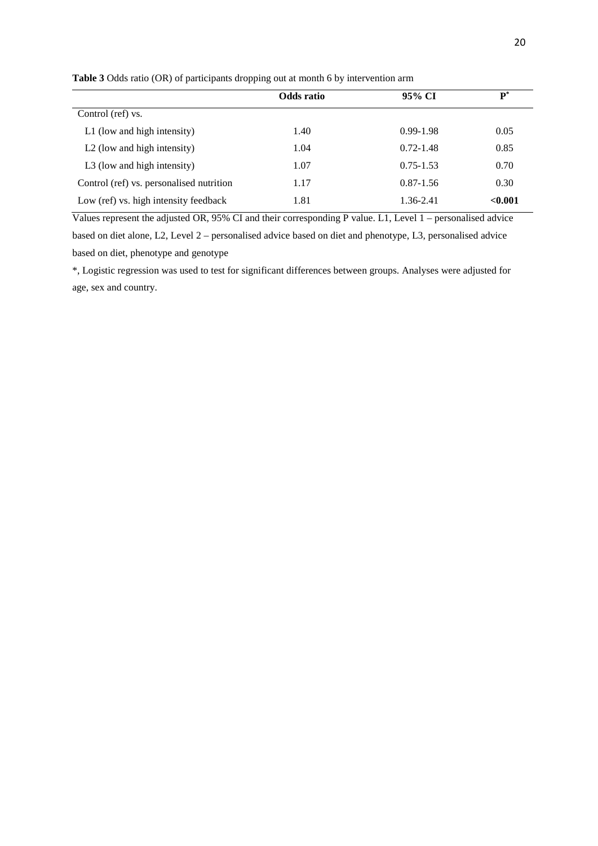|                                          | <b>Odds</b> ratio | 95% CI        | $\mathbf{p}^*$ |
|------------------------------------------|-------------------|---------------|----------------|
| Control (ref) vs.                        |                   |               |                |
| L1 (low and high intensity)              | 1.40              | $0.99 - 1.98$ | 0.05           |
| L <sub>2</sub> (low and high intensity)  | 1.04              | $0.72 - 1.48$ | 0.85           |
| L3 (low and high intensity)              | 1.07              | $0.75 - 1.53$ | 0.70           |
| Control (ref) vs. personalised nutrition | 1.17              | $0.87 - 1.56$ | 0.30           |
| Low (ref) vs. high intensity feedback    | 1.81              | 1.36-2.41     | < 0.001        |

**Table 3** Odds ratio (OR) of participants dropping out at month 6 by intervention arm

Values represent the adjusted OR, 95% CI and their corresponding P value. L1, Level 1 – personalised advice based on diet alone, L2, Level 2 – personalised advice based on diet and phenotype, L3, personalised advice based on diet, phenotype and genotype

\*, Logistic regression was used to test for significant differences between groups. Analyses were adjusted for age, sex and country.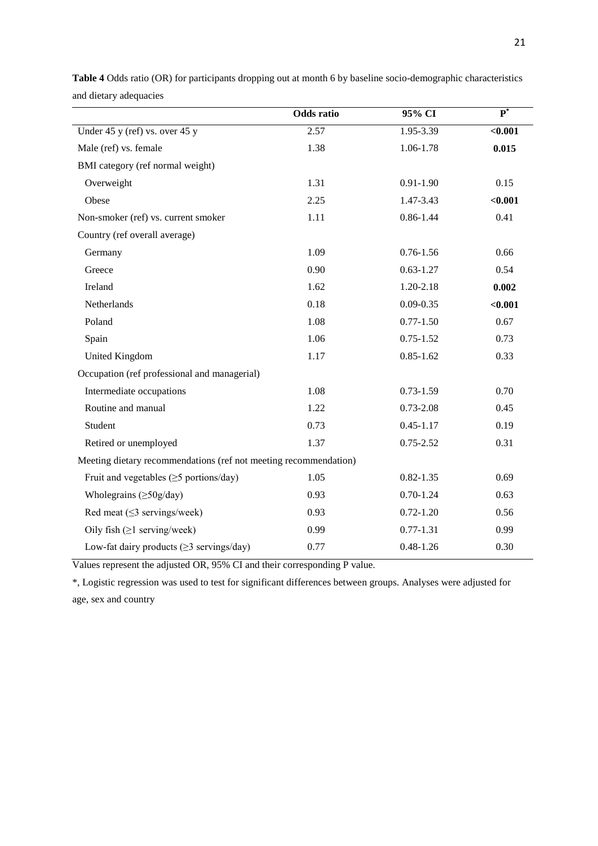|                                                                  | <b>Odds</b> ratio | 95% CI        | $\overline{\mathbf{P}^*}$ |
|------------------------------------------------------------------|-------------------|---------------|---------------------------|
| Under 45 y (ref) vs. over 45 y                                   | 2.57              | $1.95 - 3.39$ | $0.001$                   |
| Male (ref) vs. female                                            | 1.38              | 1.06-1.78     | 0.015                     |
| BMI category (ref normal weight)                                 |                   |               |                           |
| Overweight                                                       | 1.31              | $0.91 - 1.90$ | 0.15                      |
| Obese                                                            | 2.25              | 1.47-3.43     | < 0.001                   |
| Non-smoker (ref) vs. current smoker                              | 1.11              | $0.86 - 1.44$ | 0.41                      |
| Country (ref overall average)                                    |                   |               |                           |
| Germany                                                          | 1.09              | $0.76 - 1.56$ | 0.66                      |
| Greece                                                           | 0.90              | $0.63 - 1.27$ | 0.54                      |
| Ireland                                                          | 1.62              | 1.20-2.18     | 0.002                     |
| Netherlands                                                      | 0.18              | $0.09 - 0.35$ | < 0.001                   |
| Poland                                                           | 1.08              | $0.77 - 1.50$ | 0.67                      |
| Spain                                                            | 1.06              | $0.75 - 1.52$ | 0.73                      |
| United Kingdom                                                   | 1.17              | $0.85 - 1.62$ | 0.33                      |
| Occupation (ref professional and managerial)                     |                   |               |                           |
| Intermediate occupations                                         | 1.08              | $0.73 - 1.59$ | 0.70                      |
| Routine and manual                                               | 1.22              | $0.73 - 2.08$ | 0.45                      |
| Student                                                          | 0.73              | $0.45 - 1.17$ | 0.19                      |
| Retired or unemployed                                            | 1.37              | $0.75 - 2.52$ | 0.31                      |
| Meeting dietary recommendations (ref not meeting recommendation) |                   |               |                           |
| Fruit and vegetables $(\geq 5$ portions/day)                     | 1.05              | $0.82 - 1.35$ | 0.69                      |
| Wholegrains $(\geq 50g/day)$                                     | 0.93              | $0.70 - 1.24$ | 0.63                      |
| Red meat $(\leq$ 3 servings/week)                                | 0.93              | $0.72 - 1.20$ | 0.56                      |
| Oily fish $(\geq 1$ serving/week)                                | 0.99              | $0.77 - 1.31$ | 0.99                      |
| Low-fat dairy products ( $\geq$ 3 servings/day)                  | 0.77              | $0.48 - 1.26$ | 0.30                      |

**Table 4** Odds ratio (OR) for participants dropping out at month 6 by baseline socio-demographic characteristics and dietary adequacies

Values represent the adjusted OR, 95% CI and their corresponding P value.

\*, Logistic regression was used to test for significant differences between groups. Analyses were adjusted for age, sex and country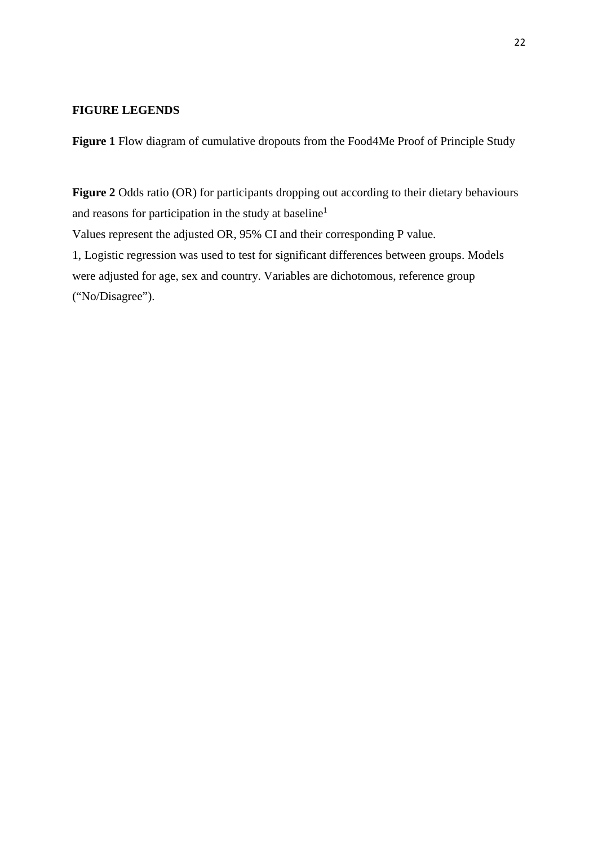# **FIGURE LEGENDS**

**Figure 1** Flow diagram of cumulative dropouts from the Food4Me Proof of Principle Study

**Figure 2** Odds ratio (OR) for participants dropping out according to their dietary behaviours and reasons for participation in the study at baseline<sup>1</sup> Values represent the adjusted OR, 95% CI and their corresponding P value. 1, Logistic regression was used to test for significant differences between groups. Models were adjusted for age, sex and country. Variables are dichotomous, reference group ("No/Disagree").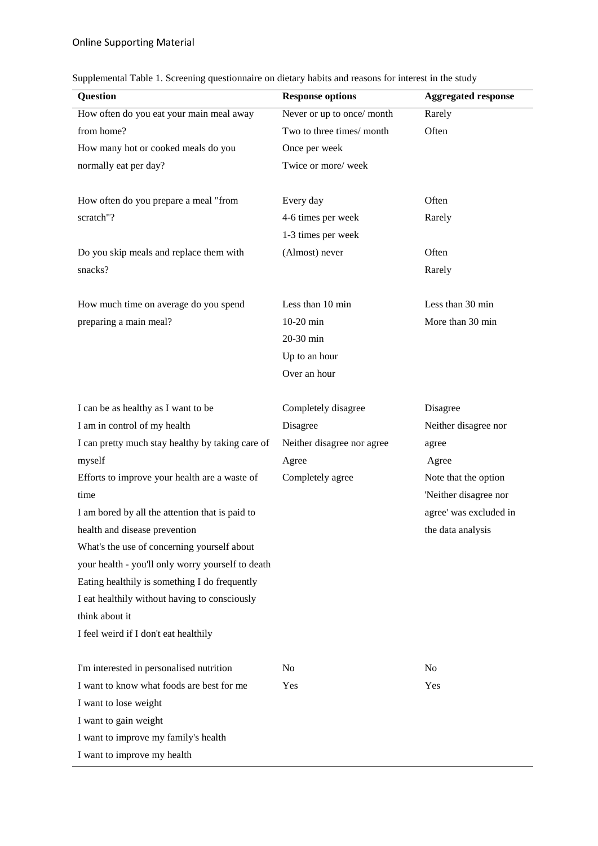| Supplemental Table 1. Screening questionnaire on dietary habits and reasons for interest in the study |  |  |  |  |  |
|-------------------------------------------------------------------------------------------------------|--|--|--|--|--|
|                                                                                                       |  |  |  |  |  |

| Question                                          | <b>Response options</b>    | <b>Aggregated response</b> |
|---------------------------------------------------|----------------------------|----------------------------|
| How often do you eat your main meal away          | Never or up to once/ month | Rarely                     |
| from home?                                        | Two to three times/month   | Often                      |
| How many hot or cooked meals do you               | Once per week              |                            |
| normally eat per day?                             | Twice or more/week         |                            |
|                                                   |                            |                            |
| How often do you prepare a meal "from             | Every day                  | Often                      |
| scratch"?                                         | 4-6 times per week         | Rarely                     |
|                                                   | 1-3 times per week         |                            |
| Do you skip meals and replace them with           | (Almost) never             | Often                      |
| snacks?                                           |                            | Rarely                     |
| How much time on average do you spend             | Less than 10 min           | Less than 30 min           |
| preparing a main meal?                            | $10-20$ min                | More than 30 min           |
|                                                   | 20-30 min                  |                            |
|                                                   | Up to an hour              |                            |
|                                                   | Over an hour               |                            |
|                                                   |                            |                            |
| I can be as healthy as I want to be               | Completely disagree        | Disagree                   |
| I am in control of my health                      | Disagree                   | Neither disagree nor       |
| I can pretty much stay healthy by taking care of  | Neither disagree nor agree | agree                      |
| myself                                            | Agree                      | Agree                      |
| Efforts to improve your health are a waste of     | Completely agree           | Note that the option       |
| time                                              |                            | 'Neither disagree nor      |
| I am bored by all the attention that is paid to   |                            | agree' was excluded in     |
| health and disease prevention                     |                            | the data analysis          |
| What's the use of concerning yourself about       |                            |                            |
| your health - you'll only worry yourself to death |                            |                            |
| Eating healthily is something I do frequently     |                            |                            |
| I eat healthily without having to consciously     |                            |                            |
| think about it                                    |                            |                            |
| I feel weird if I don't eat healthily             |                            |                            |
| I'm interested in personalised nutrition          | N <sub>o</sub>             | N <sub>o</sub>             |
| I want to know what foods are best for me         | Yes                        | Yes                        |
| I want to lose weight                             |                            |                            |
| I want to gain weight                             |                            |                            |
| I want to improve my family's health              |                            |                            |
| I want to improve my health                       |                            |                            |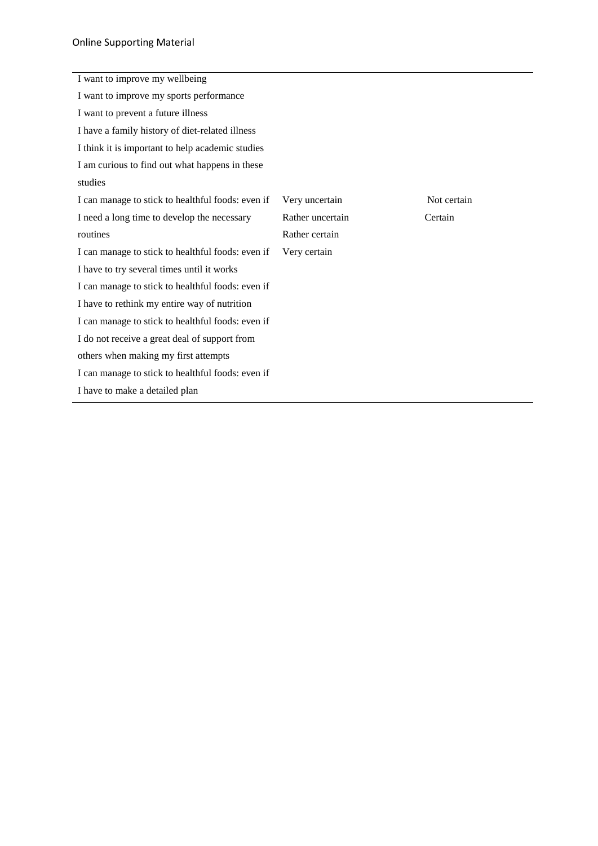| I want to improve my wellbeing                    |                  |             |
|---------------------------------------------------|------------------|-------------|
| I want to improve my sports performance           |                  |             |
| I want to prevent a future illness                |                  |             |
| I have a family history of diet-related illness   |                  |             |
| I think it is important to help academic studies  |                  |             |
| I am curious to find out what happens in these    |                  |             |
| studies                                           |                  |             |
| I can manage to stick to healthful foods: even if | Very uncertain   | Not certain |
| I need a long time to develop the necessary       | Rather uncertain | Certain     |
| routines                                          | Rather certain   |             |
| I can manage to stick to healthful foods: even if | Very certain     |             |
| I have to try several times until it works        |                  |             |
| I can manage to stick to healthful foods: even if |                  |             |
| I have to rethink my entire way of nutrition      |                  |             |
| I can manage to stick to healthful foods: even if |                  |             |
| I do not receive a great deal of support from     |                  |             |
| others when making my first attempts              |                  |             |
| I can manage to stick to healthful foods: even if |                  |             |
| I have to make a detailed plan                    |                  |             |
|                                                   |                  |             |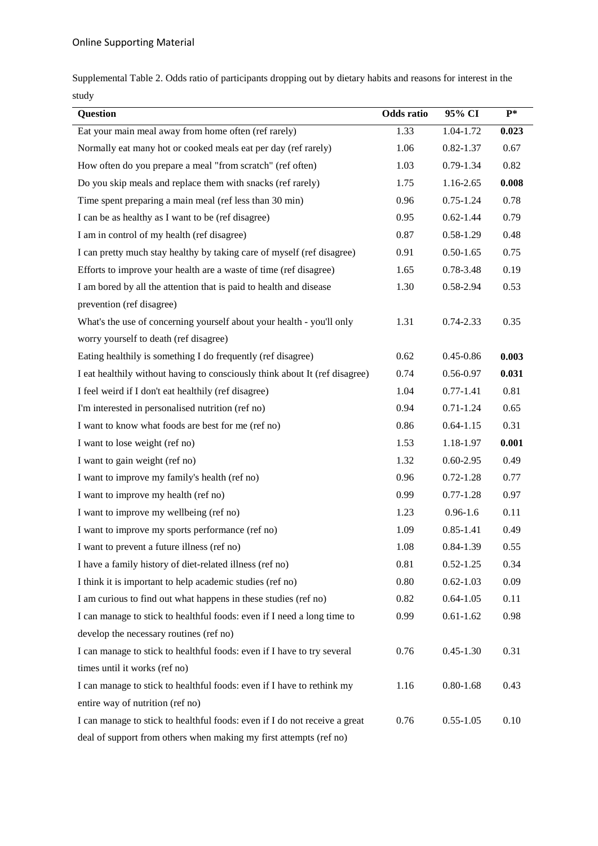Supplemental Table 2. Odds ratio of participants dropping out by dietary habits and reasons for interest in the study

| Question                                                                    | <b>Odds</b> ratio | 95% CI        | $P*$  |
|-----------------------------------------------------------------------------|-------------------|---------------|-------|
| Eat your main meal away from home often (ref rarely)                        | 1.33              | 1.04-1.72     | 0.023 |
| Normally eat many hot or cooked meals eat per day (ref rarely)              | 1.06              | $0.82 - 1.37$ | 0.67  |
| How often do you prepare a meal "from scratch" (ref often)                  | 1.03              | $0.79 - 1.34$ | 0.82  |
| Do you skip meals and replace them with snacks (ref rarely)                 | 1.75              | 1.16-2.65     | 0.008 |
| Time spent preparing a main meal (ref less than 30 min)                     | 0.96              | $0.75 - 1.24$ | 0.78  |
| I can be as healthy as I want to be (ref disagree)                          | 0.95              | $0.62 - 1.44$ | 0.79  |
| I am in control of my health (ref disagree)                                 | 0.87              | $0.58 - 1.29$ | 0.48  |
| I can pretty much stay healthy by taking care of myself (ref disagree)      | 0.91              | $0.50 - 1.65$ | 0.75  |
| Efforts to improve your health are a waste of time (ref disagree)           | 1.65              | 0.78-3.48     | 0.19  |
| I am bored by all the attention that is paid to health and disease          | 1.30              | 0.58-2.94     | 0.53  |
| prevention (ref disagree)                                                   |                   |               |       |
| What's the use of concerning yourself about your health - you'll only       | 1.31              | $0.74 - 2.33$ | 0.35  |
| worry yourself to death (ref disagree)                                      |                   |               |       |
| Eating healthily is something I do frequently (ref disagree)                | 0.62              | $0.45 - 0.86$ | 0.003 |
| I eat healthily without having to consciously think about It (ref disagree) | 0.74              | 0.56-0.97     | 0.031 |
| I feel weird if I don't eat healthily (ref disagree)                        | 1.04              | $0.77 - 1.41$ | 0.81  |
| I'm interested in personalised nutrition (ref no)                           | 0.94              | $0.71 - 1.24$ | 0.65  |
| I want to know what foods are best for me (ref no)                          | 0.86              | $0.64 - 1.15$ | 0.31  |
| I want to lose weight (ref no)                                              | 1.53              | 1.18-1.97     | 0.001 |
| I want to gain weight (ref no)                                              | 1.32              | $0.60 - 2.95$ | 0.49  |
| I want to improve my family's health (ref no)                               | 0.96              | $0.72 - 1.28$ | 0.77  |
| I want to improve my health (ref no)                                        | 0.99              | $0.77 - 1.28$ | 0.97  |
| I want to improve my wellbeing (ref no)                                     | 1.23              | $0.96 - 1.6$  | 0.11  |
| I want to improve my sports performance (ref no)                            | 1.09              | $0.85 - 1.41$ | 0.49  |
| I want to prevent a future illness (ref no)                                 | 1.08              | $0.84 - 1.39$ | 0.55  |
| I have a family history of diet-related illness (ref no)                    | 0.81              | $0.52 - 1.25$ | 0.34  |
| I think it is important to help academic studies (ref no)                   | 0.80              | $0.62 - 1.03$ | 0.09  |
| I am curious to find out what happens in these studies (ref no)             | 0.82              | $0.64 - 1.05$ | 0.11  |
| I can manage to stick to healthful foods: even if I need a long time to     | 0.99              | $0.61 - 1.62$ | 0.98  |
| develop the necessary routines (ref no)                                     |                   |               |       |
| I can manage to stick to healthful foods: even if I have to try several     | 0.76              | $0.45 - 1.30$ | 0.31  |
| times until it works (ref no)                                               |                   |               |       |
| I can manage to stick to healthful foods: even if I have to rethink my      | 1.16              | $0.80 - 1.68$ | 0.43  |
| entire way of nutrition (ref no)                                            |                   |               |       |
| I can manage to stick to healthful foods: even if I do not receive a great  | 0.76              | $0.55 - 1.05$ | 0.10  |
| deal of support from others when making my first attempts (ref no)          |                   |               |       |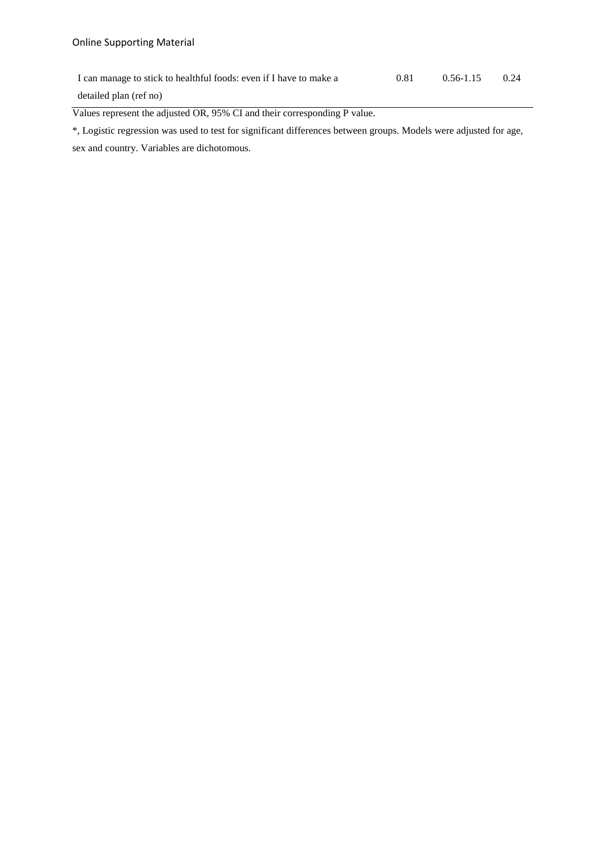I can manage to stick to healthful foods: even if I have to make a detailed plan (ref no) 0.81 0.56-1.15 0.24

Values represent the adjusted OR, 95% CI and their corresponding P value.

\*, Logistic regression was used to test for significant differences between groups. Models were adjusted for age, sex and country. Variables are dichotomous.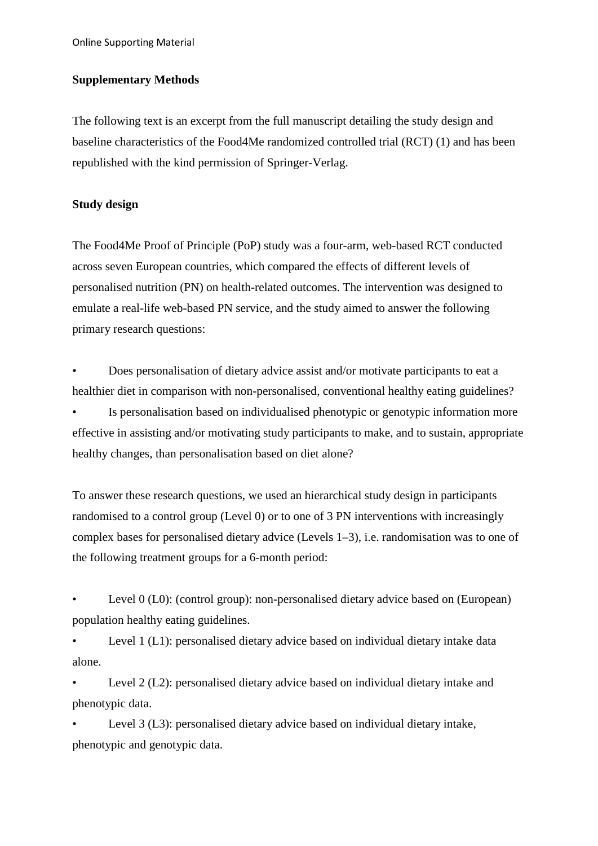Online Supporting Material

# **Supplementary Methods**

The following text is an excerpt from the full manuscript detailing the study design and baseline characteristics of the Food4Me randomized controlled trial (RCT) (1) and has been republished with the kind permission of Springer-Verlag.

# **Study design**

The Food4Me Proof of Principle (PoP) study was a four-arm, web-based RCT conducted across seven European countries, which compared the effects of different levels of personalised nutrition (PN) on health-related outcomes. The intervention was designed to emulate a real-life web-based PN service, and the study aimed to answer the following primary research questions:

• Does personalisation of dietary advice assist and/or motivate participants to eat a healthier diet in comparison with non-personalised, conventional healthy eating guidelines?

Is personalisation based on individualised phenotypic or genotypic information more effective in assisting and/or motivating study participants to make, and to sustain, appropriate healthy changes, than personalisation based on diet alone?

To answer these research questions, we used an hierarchical study design in participants randomised to a control group (Level 0) or to one of 3 PN interventions with increasingly complex bases for personalised dietary advice (Levels 1–3), i.e. randomisation was to one of the following treatment groups for a 6-month period:

Level 0 (L0): (control group): non-personalised dietary advice based on (European) population healthy eating guidelines.

Level 1 (L1): personalised dietary advice based on individual dietary intake data alone.

Level 2 (L2): personalised dietary advice based on individual dietary intake and phenotypic data.

Level 3 (L3): personalised dietary advice based on individual dietary intake, phenotypic and genotypic data.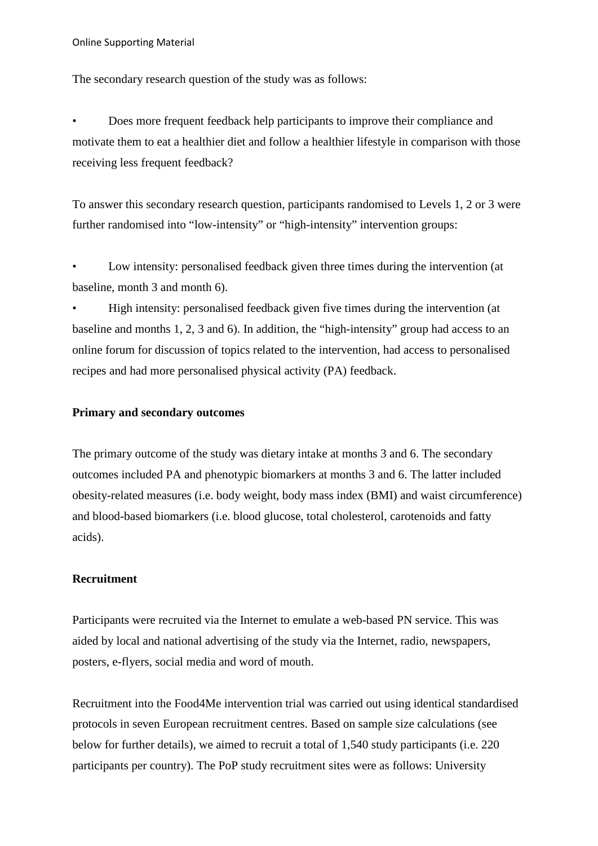The secondary research question of the study was as follows:

• Does more frequent feedback help participants to improve their compliance and motivate them to eat a healthier diet and follow a healthier lifestyle in comparison with those receiving less frequent feedback?

To answer this secondary research question, participants randomised to Levels 1, 2 or 3 were further randomised into "low-intensity" or "high-intensity" intervention groups:

Low intensity: personalised feedback given three times during the intervention (at baseline, month 3 and month 6).

• High intensity: personalised feedback given five times during the intervention (at baseline and months 1, 2, 3 and 6). In addition, the "high-intensity" group had access to an online forum for discussion of topics related to the intervention, had access to personalised recipes and had more personalised physical activity (PA) feedback.

# **Primary and secondary outcomes**

The primary outcome of the study was dietary intake at months 3 and 6. The secondary outcomes included PA and phenotypic biomarkers at months 3 and 6. The latter included obesity-related measures (i.e. body weight, body mass index (BMI) and waist circumference) and blood-based biomarkers (i.e. blood glucose, total cholesterol, carotenoids and fatty acids).

# **Recruitment**

Participants were recruited via the Internet to emulate a web-based PN service. This was aided by local and national advertising of the study via the Internet, radio, newspapers, posters, e-flyers, social media and word of mouth.

Recruitment into the Food4Me intervention trial was carried out using identical standardised protocols in seven European recruitment centres. Based on sample size calculations (see below for further details), we aimed to recruit a total of 1,540 study participants (i.e. 220 participants per country). The PoP study recruitment sites were as follows: University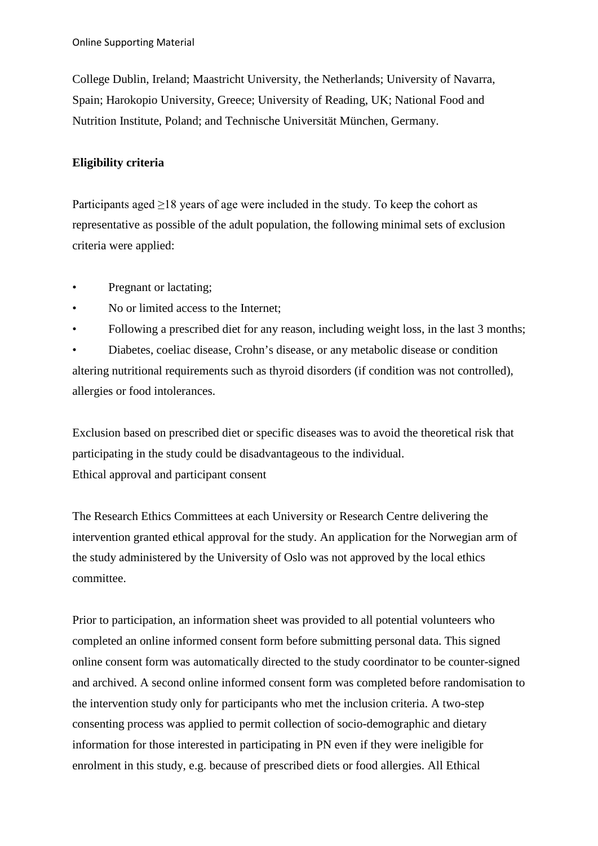College Dublin, Ireland; Maastricht University, the Netherlands; University of Navarra, Spain; Harokopio University, Greece; University of Reading, UK; National Food and Nutrition Institute, Poland; and Technische Universität München, Germany.

# **Eligibility criteria**

Participants aged  $\geq$ 18 years of age were included in the study. To keep the cohort as representative as possible of the adult population, the following minimal sets of exclusion criteria were applied:

- Pregnant or lactating;
- No or limited access to the Internet;
- Following a prescribed diet for any reason, including weight loss, in the last 3 months;

• Diabetes, coeliac disease, Crohn's disease, or any metabolic disease or condition altering nutritional requirements such as thyroid disorders (if condition was not controlled), allergies or food intolerances.

Exclusion based on prescribed diet or specific diseases was to avoid the theoretical risk that participating in the study could be disadvantageous to the individual. Ethical approval and participant consent

The Research Ethics Committees at each University or Research Centre delivering the intervention granted ethical approval for the study. An application for the Norwegian arm of the study administered by the University of Oslo was not approved by the local ethics committee.

Prior to participation, an information sheet was provided to all potential volunteers who completed an online informed consent form before submitting personal data. This signed online consent form was automatically directed to the study coordinator to be counter-signed and archived. A second online informed consent form was completed before randomisation to the intervention study only for participants who met the inclusion criteria. A two-step consenting process was applied to permit collection of socio-demographic and dietary information for those interested in participating in PN even if they were ineligible for enrolment in this study, e.g. because of prescribed diets or food allergies. All Ethical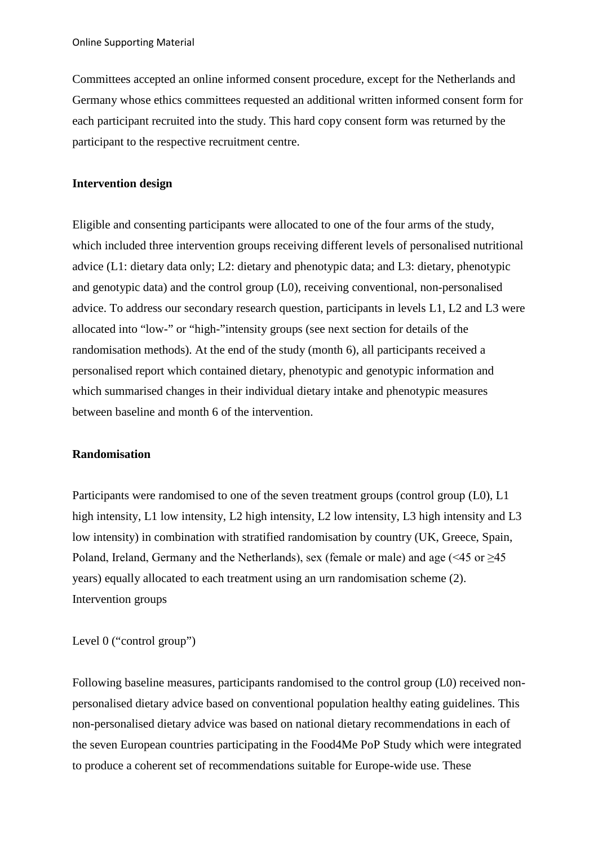Committees accepted an online informed consent procedure, except for the Netherlands and Germany whose ethics committees requested an additional written informed consent form for each participant recruited into the study. This hard copy consent form was returned by the participant to the respective recruitment centre.

### **Intervention design**

Eligible and consenting participants were allocated to one of the four arms of the study, which included three intervention groups receiving different levels of personalised nutritional advice (L1: dietary data only; L2: dietary and phenotypic data; and L3: dietary, phenotypic and genotypic data) and the control group (L0), receiving conventional, non-personalised advice. To address our secondary research question, participants in levels L1, L2 and L3 were allocated into "low-" or "high-"intensity groups (see next section for details of the randomisation methods). At the end of the study (month 6), all participants received a personalised report which contained dietary, phenotypic and genotypic information and which summarised changes in their individual dietary intake and phenotypic measures between baseline and month 6 of the intervention.

#### **Randomisation**

Participants were randomised to one of the seven treatment groups (control group (L0), L1 high intensity, L1 low intensity, L2 high intensity, L2 low intensity, L3 high intensity and L3 low intensity) in combination with stratified randomisation by country (UK, Greece, Spain, Poland, Ireland, Germany and the Netherlands), sex (female or male) and age (<45 or ≥45 years) equally allocated to each treatment using an urn randomisation scheme (2). Intervention groups

Level 0 ("control group")

Following baseline measures, participants randomised to the control group (L0) received nonpersonalised dietary advice based on conventional population healthy eating guidelines. This non-personalised dietary advice was based on national dietary recommendations in each of the seven European countries participating in the Food4Me PoP Study which were integrated to produce a coherent set of recommendations suitable for Europe-wide use. These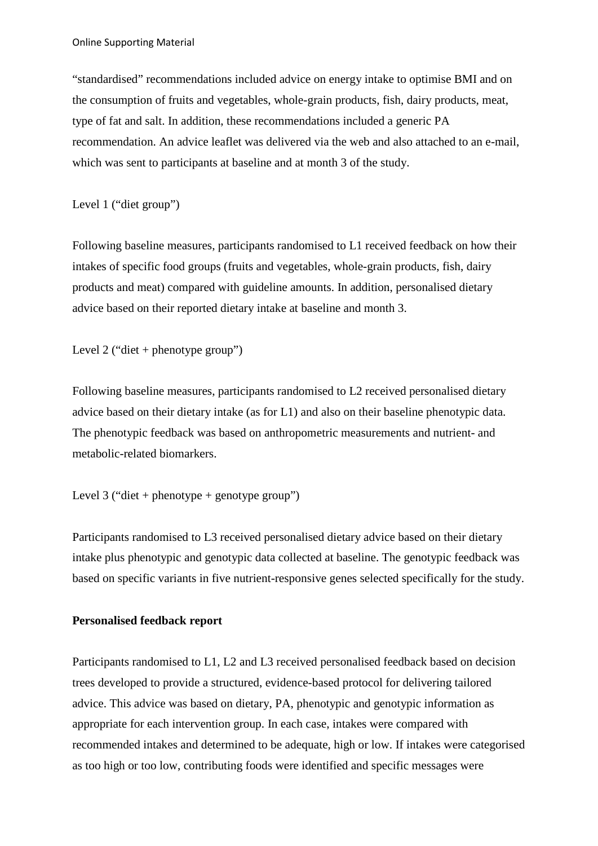"standardised" recommendations included advice on energy intake to optimise BMI and on the consumption of fruits and vegetables, whole-grain products, fish, dairy products, meat, type of fat and salt. In addition, these recommendations included a generic PA recommendation. An advice leaflet was delivered via the web and also attached to an e-mail, which was sent to participants at baseline and at month 3 of the study.

Level 1 ("diet group")

Following baseline measures, participants randomised to L1 received feedback on how their intakes of specific food groups (fruits and vegetables, whole-grain products, fish, dairy products and meat) compared with guideline amounts. In addition, personalised dietary advice based on their reported dietary intake at baseline and month 3.

Level 2 ("diet + phenotype group")

Following baseline measures, participants randomised to L2 received personalised dietary advice based on their dietary intake (as for L1) and also on their baseline phenotypic data. The phenotypic feedback was based on anthropometric measurements and nutrient- and metabolic-related biomarkers.

```
Level 3 ("diet + phenotype + genotype group")
```
Participants randomised to L3 received personalised dietary advice based on their dietary intake plus phenotypic and genotypic data collected at baseline. The genotypic feedback was based on specific variants in five nutrient-responsive genes selected specifically for the study.

# **Personalised feedback report**

Participants randomised to L1, L2 and L3 received personalised feedback based on decision trees developed to provide a structured, evidence-based protocol for delivering tailored advice. This advice was based on dietary, PA, phenotypic and genotypic information as appropriate for each intervention group. In each case, intakes were compared with recommended intakes and determined to be adequate, high or low. If intakes were categorised as too high or too low, contributing foods were identified and specific messages were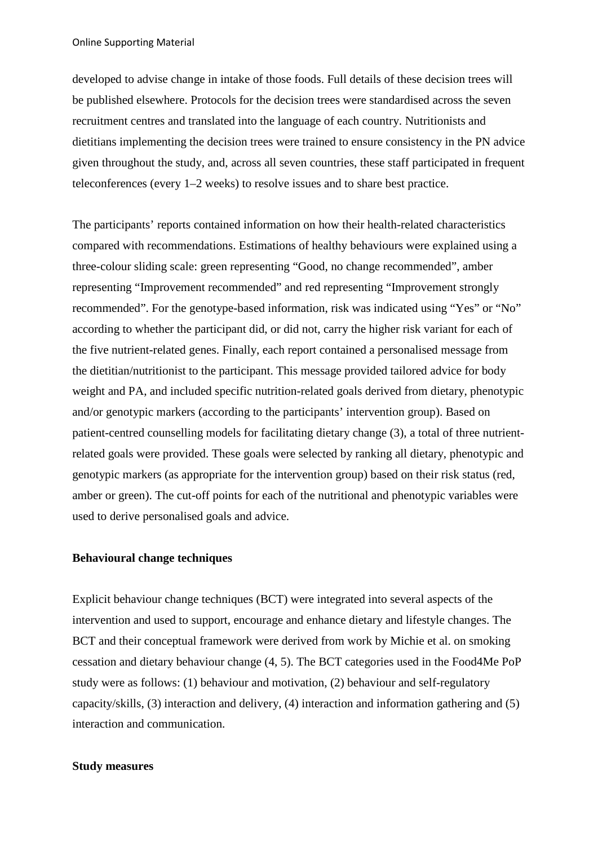Online Supporting Material

developed to advise change in intake of those foods. Full details of these decision trees will be published elsewhere. Protocols for the decision trees were standardised across the seven recruitment centres and translated into the language of each country. Nutritionists and dietitians implementing the decision trees were trained to ensure consistency in the PN advice given throughout the study, and, across all seven countries, these staff participated in frequent teleconferences (every 1–2 weeks) to resolve issues and to share best practice.

The participants' reports contained information on how their health-related characteristics compared with recommendations. Estimations of healthy behaviours were explained using a three-colour sliding scale: green representing "Good, no change recommended", amber representing "Improvement recommended" and red representing "Improvement strongly recommended". For the genotype-based information, risk was indicated using "Yes" or "No" according to whether the participant did, or did not, carry the higher risk variant for each of the five nutrient-related genes. Finally, each report contained a personalised message from the dietitian/nutritionist to the participant. This message provided tailored advice for body weight and PA, and included specific nutrition-related goals derived from dietary, phenotypic and/or genotypic markers (according to the participants' intervention group). Based on patient-centred counselling models for facilitating dietary change (3), a total of three nutrientrelated goals were provided. These goals were selected by ranking all dietary, phenotypic and genotypic markers (as appropriate for the intervention group) based on their risk status (red, amber or green). The cut-off points for each of the nutritional and phenotypic variables were used to derive personalised goals and advice.

#### **Behavioural change techniques**

Explicit behaviour change techniques (BCT) were integrated into several aspects of the intervention and used to support, encourage and enhance dietary and lifestyle changes. The BCT and their conceptual framework were derived from work by Michie et al. on smoking cessation and dietary behaviour change (4, 5). The BCT categories used in the Food4Me PoP study were as follows: (1) behaviour and motivation, (2) behaviour and self-regulatory capacity/skills, (3) interaction and delivery, (4) interaction and information gathering and (5) interaction and communication.

#### **Study measures**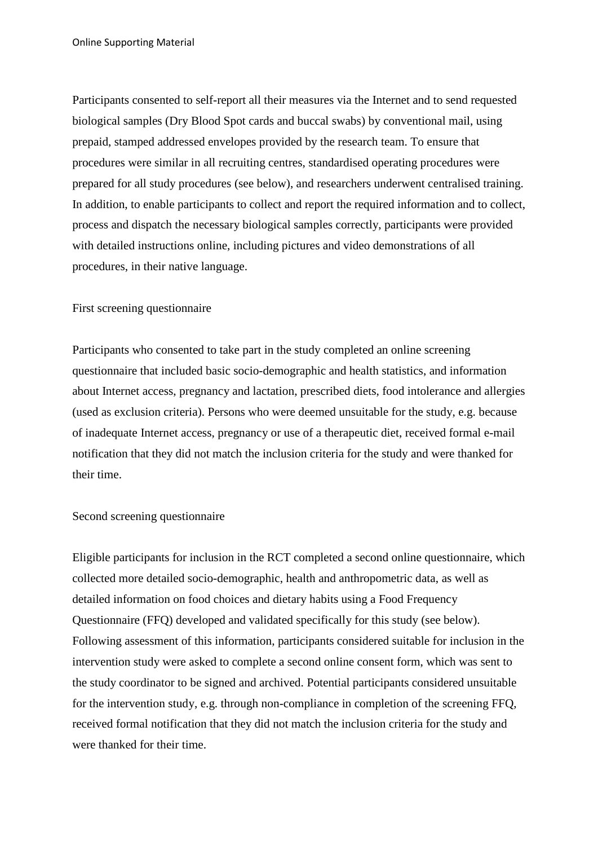Participants consented to self-report all their measures via the Internet and to send requested biological samples (Dry Blood Spot cards and buccal swabs) by conventional mail, using prepaid, stamped addressed envelopes provided by the research team. To ensure that procedures were similar in all recruiting centres, standardised operating procedures were prepared for all study procedures (see below), and researchers underwent centralised training. In addition, to enable participants to collect and report the required information and to collect, process and dispatch the necessary biological samples correctly, participants were provided with detailed instructions online, including pictures and video demonstrations of all procedures, in their native language.

# First screening questionnaire

Participants who consented to take part in the study completed an online screening questionnaire that included basic socio-demographic and health statistics, and information about Internet access, pregnancy and lactation, prescribed diets, food intolerance and allergies (used as exclusion criteria). Persons who were deemed unsuitable for the study, e.g. because of inadequate Internet access, pregnancy or use of a therapeutic diet, received formal e-mail notification that they did not match the inclusion criteria for the study and were thanked for their time.

# Second screening questionnaire

Eligible participants for inclusion in the RCT completed a second online questionnaire, which collected more detailed socio-demographic, health and anthropometric data, as well as detailed information on food choices and dietary habits using a Food Frequency Questionnaire (FFQ) developed and validated specifically for this study (see below). Following assessment of this information, participants considered suitable for inclusion in the intervention study were asked to complete a second online consent form, which was sent to the study coordinator to be signed and archived. Potential participants considered unsuitable for the intervention study, e.g. through non-compliance in completion of the screening FFQ, received formal notification that they did not match the inclusion criteria for the study and were thanked for their time.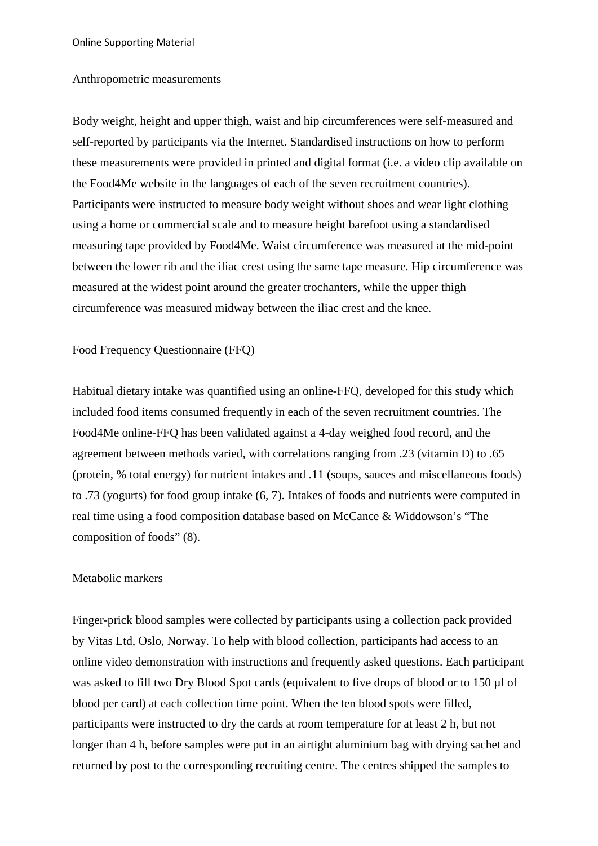Online Supporting Material

#### Anthropometric measurements

Body weight, height and upper thigh, waist and hip circumferences were self-measured and self-reported by participants via the Internet. Standardised instructions on how to perform these measurements were provided in printed and digital format (i.e. a video clip available on the Food4Me website in the languages of each of the seven recruitment countries). Participants were instructed to measure body weight without shoes and wear light clothing using a home or commercial scale and to measure height barefoot using a standardised measuring tape provided by Food4Me. Waist circumference was measured at the mid-point between the lower rib and the iliac crest using the same tape measure. Hip circumference was measured at the widest point around the greater trochanters, while the upper thigh circumference was measured midway between the iliac crest and the knee.

Food Frequency Questionnaire (FFQ)

Habitual dietary intake was quantified using an online-FFQ, developed for this study which included food items consumed frequently in each of the seven recruitment countries. The Food4Me online-FFQ has been validated against a 4-day weighed food record, and the agreement between methods varied, with correlations ranging from .23 (vitamin D) to .65 (protein, % total energy) for nutrient intakes and .11 (soups, sauces and miscellaneous foods) to .73 (yogurts) for food group intake (6, 7). Intakes of foods and nutrients were computed in real time using a food composition database based on McCance & Widdowson's "The composition of foods" (8).

# Metabolic markers

Finger-prick blood samples were collected by participants using a collection pack provided by Vitas Ltd, Oslo, Norway. To help with blood collection, participants had access to an online video demonstration with instructions and frequently asked questions. Each participant was asked to fill two Dry Blood Spot cards (equivalent to five drops of blood or to 150 µl of blood per card) at each collection time point. When the ten blood spots were filled, participants were instructed to dry the cards at room temperature for at least 2 h, but not longer than 4 h, before samples were put in an airtight aluminium bag with drying sachet and returned by post to the corresponding recruiting centre. The centres shipped the samples to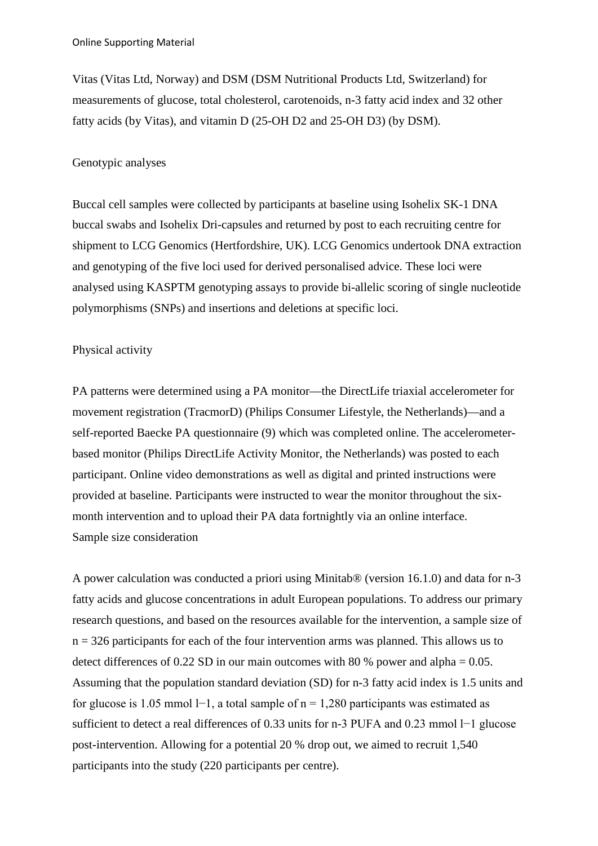Vitas (Vitas Ltd, Norway) and DSM (DSM Nutritional Products Ltd, Switzerland) for measurements of glucose, total cholesterol, carotenoids, n-3 fatty acid index and 32 other fatty acids (by Vitas), and vitamin D (25-OH D2 and 25-OH D3) (by DSM).

### Genotypic analyses

Buccal cell samples were collected by participants at baseline using Isohelix SK-1 DNA buccal swabs and Isohelix Dri-capsules and returned by post to each recruiting centre for shipment to LCG Genomics (Hertfordshire, UK). LCG Genomics undertook DNA extraction and genotyping of the five loci used for derived personalised advice. These loci were analysed using KASPTM genotyping assays to provide bi-allelic scoring of single nucleotide polymorphisms (SNPs) and insertions and deletions at specific loci.

#### Physical activity

PA patterns were determined using a PA monitor—the DirectLife triaxial accelerometer for movement registration (TracmorD) (Philips Consumer Lifestyle, the Netherlands)—and a self-reported Baecke PA questionnaire (9) which was completed online. The accelerometerbased monitor (Philips DirectLife Activity Monitor, the Netherlands) was posted to each participant. Online video demonstrations as well as digital and printed instructions were provided at baseline. Participants were instructed to wear the monitor throughout the sixmonth intervention and to upload their PA data fortnightly via an online interface. Sample size consideration

A power calculation was conducted a priori using Minitab® (version 16.1.0) and data for n-3 fatty acids and glucose concentrations in adult European populations. To address our primary research questions, and based on the resources available for the intervention, a sample size of  $n = 326$  participants for each of the four intervention arms was planned. This allows us to detect differences of 0.22 SD in our main outcomes with 80 % power and alpha  $= 0.05$ . Assuming that the population standard deviation (SD) for n-3 fatty acid index is 1.5 units and for glucose is 1.05 mmol l−1, a total sample of n = 1,280 participants was estimated as sufficient to detect a real differences of 0.33 units for n-3 PUFA and 0.23 mmol l−1 glucose post-intervention. Allowing for a potential 20 % drop out, we aimed to recruit 1,540 participants into the study (220 participants per centre).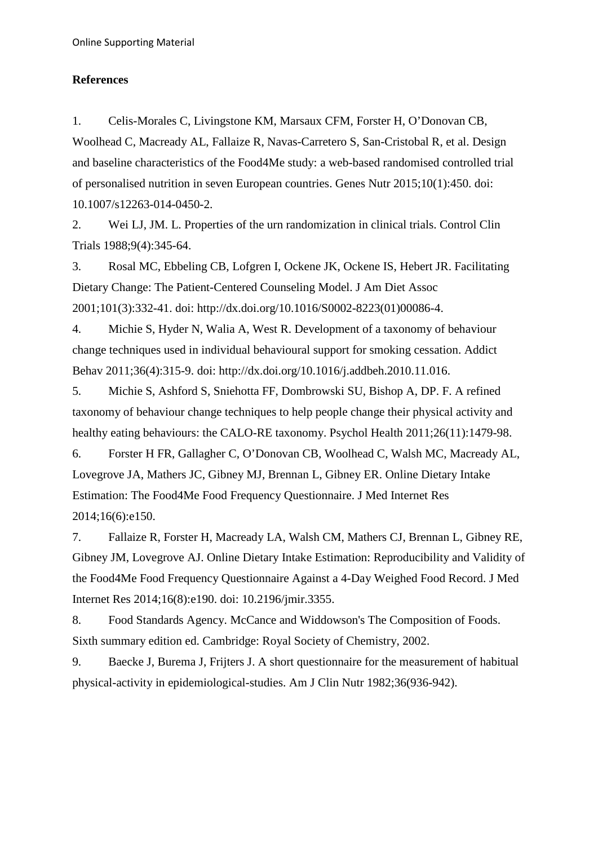# **References**

1. Celis-Morales C, Livingstone KM, Marsaux CFM, Forster H, O'Donovan CB, Woolhead C, Macready AL, Fallaize R, Navas-Carretero S, San-Cristobal R, et al. Design and baseline characteristics of the Food4Me study: a web-based randomised controlled trial of personalised nutrition in seven European countries. Genes Nutr 2015;10(1):450. doi: 10.1007/s12263-014-0450-2.

2. Wei LJ, JM. L. Properties of the urn randomization in clinical trials. Control Clin Trials 1988;9(4):345-64.

3. Rosal MC, Ebbeling CB, Lofgren I, Ockene JK, Ockene IS, Hebert JR. Facilitating Dietary Change: The Patient-Centered Counseling Model. J Am Diet Assoc 2001;101(3):332-41. doi: http://dx.doi.org/10.1016/S0002-8223(01)00086-4.

4. Michie S, Hyder N, Walia A, West R. Development of a taxonomy of behaviour change techniques used in individual behavioural support for smoking cessation. Addict Behav 2011;36(4):315-9. doi: http://dx.doi.org/10.1016/j.addbeh.2010.11.016.

5. Michie S, Ashford S, Sniehotta FF, Dombrowski SU, Bishop A, DP. F. A refined taxonomy of behaviour change techniques to help people change their physical activity and healthy eating behaviours: the CALO-RE taxonomy. Psychol Health 2011;26(11):1479-98.

6. Forster H FR, Gallagher C, O'Donovan CB, Woolhead C, Walsh MC, Macready AL, Lovegrove JA, Mathers JC, Gibney MJ, Brennan L, Gibney ER. Online Dietary Intake Estimation: The Food4Me Food Frequency Questionnaire. J Med Internet Res 2014;16(6):e150.

7. Fallaize R, Forster H, Macready LA, Walsh CM, Mathers CJ, Brennan L, Gibney RE, Gibney JM, Lovegrove AJ. Online Dietary Intake Estimation: Reproducibility and Validity of the Food4Me Food Frequency Questionnaire Against a 4-Day Weighed Food Record. J Med Internet Res 2014;16(8):e190. doi: 10.2196/jmir.3355.

8. Food Standards Agency. McCance and Widdowson's The Composition of Foods. Sixth summary edition ed. Cambridge: Royal Society of Chemistry, 2002.

9. Baecke J, Burema J, Frijters J. A short questionnaire for the measurement of habitual physical-activity in epidemiological-studies. Am J Clin Nutr 1982;36(936-942).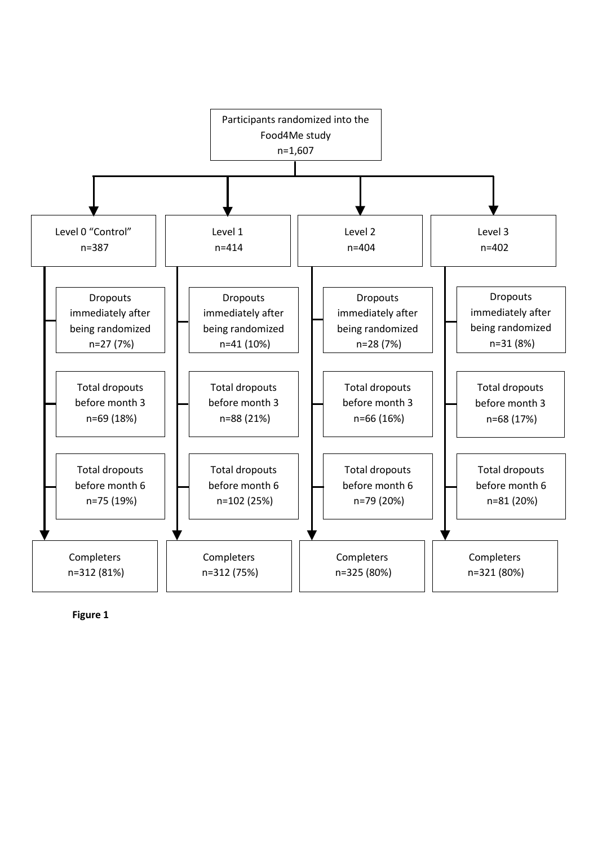

**Figure 1**